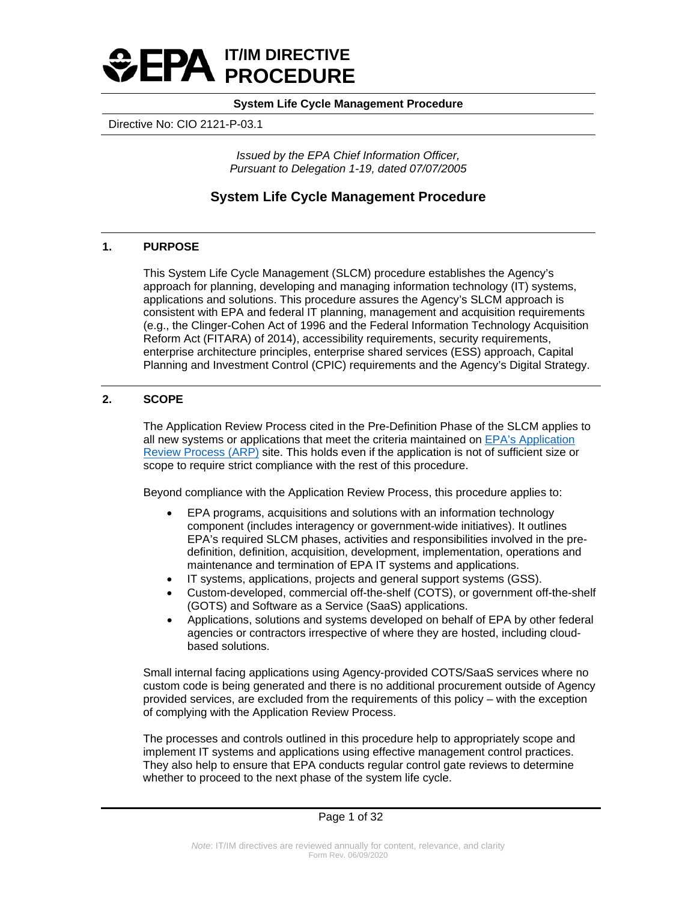

Directive No: CIO 2121-P-03.1

*Issued by the EPA Chief Information Officer, Pursuant to Delegation 1-19, dated 07/07/2005*

## **System Life Cycle Management Procedure**

## **1. PURPOSE**

This System Life Cycle Management (SLCM) procedure establishes the Agency's approach for planning, developing and managing information technology (IT) systems, applications and solutions. This procedure assures the Agency's SLCM approach is consistent with EPA and federal IT planning, management and acquisition requirements (e.g., the Clinger-Cohen Act of 1996 and the Federal Information Technology Acquisition Reform Act (FITARA) of 2014), accessibility requirements, security requirements, enterprise architecture principles, enterprise shared services (ESS) approach, Capital Planning and Investment Control (CPIC) requirements and the Agency's Digital Strategy.

## **2. SCOPE**

The Application Review Process cited in the Pre-Definition Phase of the SLCM applies to all new systems or applications that meet the criteria maintained on [EPA's Application](https://usepa.sharepoint.com/sites/oei_Work/ODSTA/AppGov/SitePages/Home.aspx)  [Review Process \(ARP\)](https://usepa.sharepoint.com/sites/oei_Work/ODSTA/AppGov/SitePages/Home.aspx) site. This holds even if the application is not of sufficient size or scope to require strict compliance with the rest of this procedure.

Beyond compliance with the Application Review Process, this procedure applies to:

- EPA programs, acquisitions and solutions with an information technology component (includes interagency or government-wide initiatives). It outlines EPA's required SLCM phases, activities and responsibilities involved in the predefinition, definition, acquisition, development, implementation, operations and maintenance and termination of EPA IT systems and applications.
- IT systems, applications, projects and general support systems (GSS).
- Custom-developed, commercial off-the-shelf (COTS), or government off-the-shelf (GOTS) and Software as a Service (SaaS) applications.
- Applications, solutions and systems developed on behalf of EPA by other federal agencies or contractors irrespective of where they are hosted, including cloudbased solutions.

Small internal facing applications using Agency-provided COTS/SaaS services where no custom code is being generated and there is no additional procurement outside of Agency provided services, are excluded from the requirements of this policy – with the exception of complying with the Application Review Process.

The processes and controls outlined in this procedure help to appropriately scope and implement IT systems and applications using effective management control practices. They also help to ensure that EPA conducts regular control gate reviews to determine whether to proceed to the next phase of the system life cycle.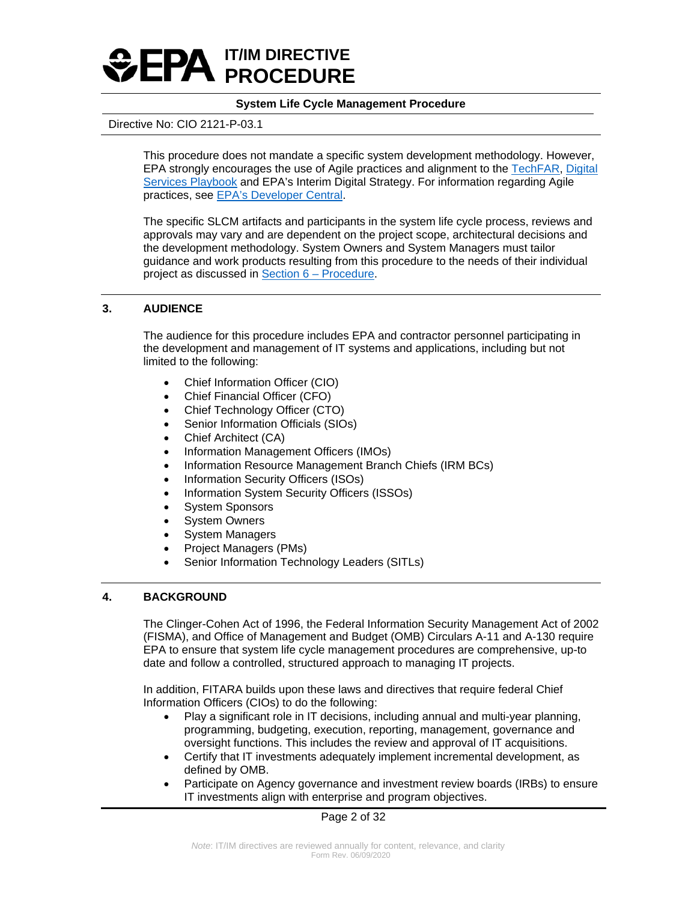

### Directive No: CIO 2121-P-03.1

This procedure does not mandate a specific system development methodology. However, EPA strongly encourages the use of Agile practices and alignment to the [TechFAR,](https://techfarhub.cio.gov/handbook/) Digital [Services Playbook](https://playbook.cio.gov/) and EPA's Interim Digital Strategy. For information regarding Agile practices, see [EPA's Developer Central.](https://developer.epa.gov/)

The specific SLCM artifacts and participants in the system life cycle process, reviews and approvals may vary and are dependent on the project scope, architectural decisions and the development methodology. System Owners and System Managers must tailor guidance and work products resulting from this procedure to the needs of their individual project as discussed in [Section 6 – Procedure.](#page-3-0)

### **3. AUDIENCE**

The audience for this procedure includes EPA and contractor personnel participating in the development and management of IT systems and applications, including but not limited to the following:

- Chief Information Officer (CIO)
- Chief Financial Officer (CFO)
- Chief Technology Officer (CTO)
- Senior Information Officials (SIOs)
- Chief Architect (CA)
- Information Management Officers (IMOs)
- Information Resource Management Branch Chiefs (IRM BCs)
- Information Security Officers (ISOs)
- Information System Security Officers (ISSOs)
- System Sponsors
- System Owners
- System Managers
- Project Managers (PMs)
- Senior Information Technology Leaders (SITLs)

## **4. BACKGROUND**

The Clinger-Cohen Act of 1996, the Federal Information Security Management Act of 2002 (FISMA), and Office of Management and Budget (OMB) Circulars A-11 and A-130 require EPA to ensure that system life cycle management procedures are comprehensive, up-to date and follow a controlled, structured approach to managing IT projects.

In addition, FITARA builds upon these laws and directives that require federal Chief Information Officers (CIOs) to do the following:

- Play a significant role in IT decisions, including annual and multi-year planning, programming, budgeting, execution, reporting, management, governance and oversight functions. This includes the review and approval of IT acquisitions.
- Certify that IT investments adequately implement incremental development, as defined by OMB.
- Participate on Agency governance and investment review boards (IRBs) to ensure IT investments align with enterprise and program objectives.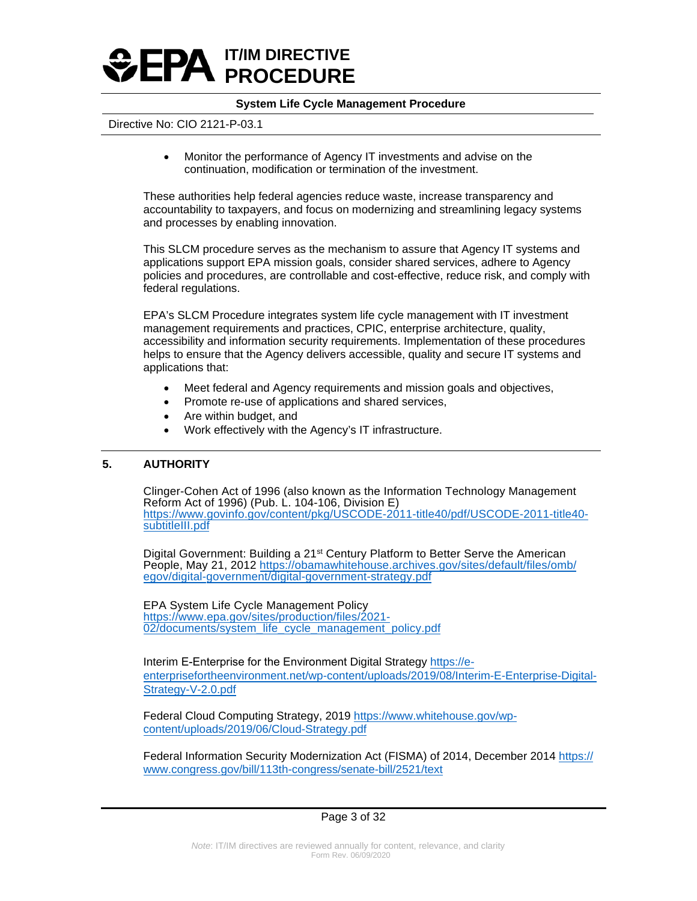

### Directive No: CIO 2121-P-03.1

• Monitor the performance of Agency IT investments and advise on the continuation, modification or termination of the investment.

These authorities help federal agencies reduce waste, increase transparency and accountability to taxpayers, and focus on modernizing and streamlining legacy systems and processes by enabling innovation.

This SLCM procedure serves as the mechanism to assure that Agency IT systems and applications support EPA mission goals, consider shared services, adhere to Agency policies and procedures, are controllable and cost-effective, reduce risk, and comply with federal regulations.

EPA's SLCM Procedure integrates system life cycle management with IT investment management requirements and practices, CPIC, enterprise architecture, quality, accessibility and information security requirements. Implementation of these procedures helps to ensure that the Agency delivers accessible, quality and secure IT systems and applications that:

- Meet federal and Agency requirements and mission goals and objectives,
- Promote re-use of applications and shared services,
- Are within budget, and
- Work effectively with the Agency's IT infrastructure.

### **5. AUTHORITY**

Clinger-Cohen Act of 1996 (also known as the Information Technology Management Reform Act of 1996) (Pub. L. 104-106, Division E) [https://www.govinfo.gov/content/pkg/USCODE-2011-title40/pdf/USCODE-2011-title40](https://www.govinfo.gov/content/pkg/USCODE-2011-title40/pdf/USCODE-2011-title40-subtitleIII.pdf) [subtitleIII.pdf](https://www.govinfo.gov/content/pkg/USCODE-2011-title40/pdf/USCODE-2011-title40-subtitleIII.pdf)

Digital Government: Building a 21<sup>st</sup> Century Platform to Better Serve the American People, May 21, 2012 [https://obamawhitehouse.archives.gov/sites/default/files/omb/](https://obamawhitehouse.archives.gov/sites/default/files/omb/egov/digital-government/digital-government-strategy.pdf) [egov/digital-government/digital-government-strategy.pdf](https://obamawhitehouse.archives.gov/sites/default/files/omb/egov/digital-government/digital-government-strategy.pdf)

EPA System Life Cycle Management Policy [https://www.epa.gov/sites/production/files/2021-](https://www.epa.gov/sites/production/files/2021-02/documents/system_life_cycle_management_policy.pdf) [02/documents/system\\_life\\_cycle\\_management\\_policy.pdf](https://www.epa.gov/sites/production/files/2021-02/documents/system_life_cycle_management_policy.pdf)

Interim E-Enterprise for the Environment Digital Strategy [https://e](https://e-enterprisefortheenvironment.net/wp-content/uploads/2019/08/Interim-E-Enterprise-Digital-Strategy-V-2.0.pdf)[enterprisefortheenvironment.net/wp-content/uploads/2019/08/Interim-E-Enterprise-Digital-](https://e-enterprisefortheenvironment.net/wp-content/uploads/2019/08/Interim-E-Enterprise-Digital-Strategy-V-2.0.pdf)Strategy-V-2.0.pdf

Federal Cloud Computing Strategy, 201[9 https://www.whitehouse.gov/wp](https://www.whitehouse.gov/wp-content/uploads/2019/06/Cloud-Strategy.pdf)[content/uploads/2019/06/Cloud-Strategy.pdf](https://www.whitehouse.gov/wp-content/uploads/2019/06/Cloud-Strategy.pdf)

Federal Information Security Modernization Act (FISMA) of 2014, December 2014 https:// [www.congress.gov/bill/113th-congress/senate-bill/2521/text](https://www.congress.gov/113/plaws/publ283/PLAW-113publ283.pdf)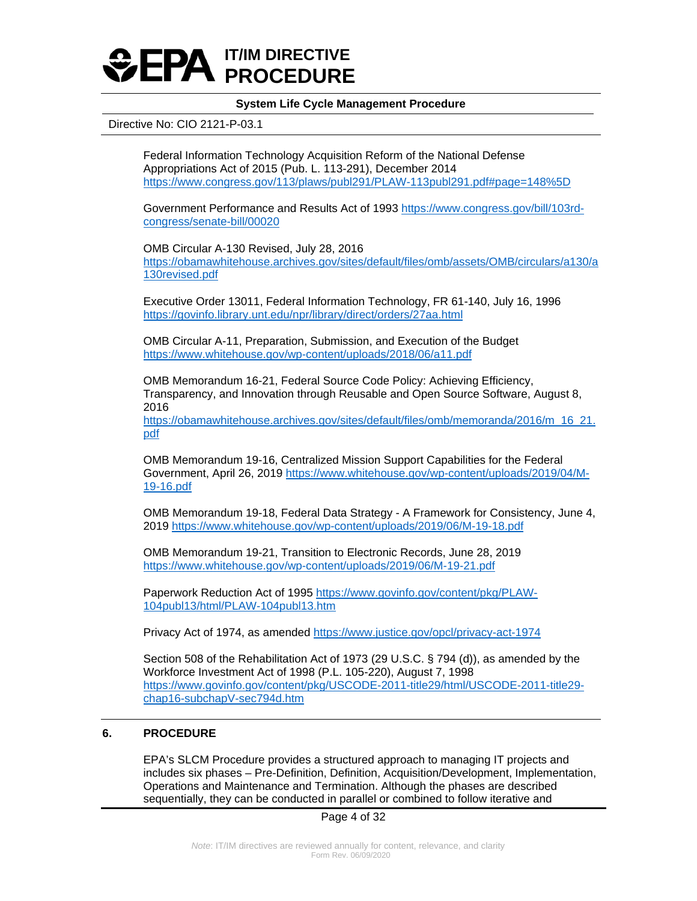

### Directive No: CIO 2121-P-03.1

Federal Information Technology Acquisition Reform of the National Defense Appropriations Act of 2015 (Pub. L. 113-291), December 2014 <https://www.congress.gov/113/plaws/publ291/PLAW-113publ291.pdf#page=148%5D>

Government Performance and Results Act of 1993 [https://www.congress.gov/bill/103rd](https://www.congress.gov/bill/103rd-congress/senate-bill/00020)[congress/senate-bill/00020](https://www.congress.gov/bill/103rd-congress/senate-bill/00020) 

OMB Circular A-130 Revised, July 28, 2016 [https://obamawhitehouse.archives.gov/sites/default/files/omb/assets/OMB/circulars/a130/a](https://obamawhitehouse.archives.gov/sites/default/files/omb/assets/OMB/circulars/a130/a130revised.pdf) [130revised.pdf](https://obamawhitehouse.archives.gov/sites/default/files/omb/assets/OMB/circulars/a130/a130revised.pdf) 

Executive Order 13011, Federal Information Technology, FR 61-140, July 16, 1996 <https://govinfo.library.unt.edu/npr/library/direct/orders/27aa.html>

OMB Circular A-11, Preparation, Submission, and Execution of the Budget <https://www.whitehouse.gov/wp-content/uploads/2018/06/a11.pdf>

OMB Memorandum 16-21, Federal Source Code Policy: Achieving Efficiency, Transparency, and Innovation through Reusable and Open Source Software, August 8, 2016

https://obamawhitehouse.archives.gov/sites/default/files/omb/memoranda/2016/m 16 21. [pdf](https://obamawhitehouse.archives.gov/sites/default/files/omb/memoranda/2016/m_16_21.pdf) 

OMB Memorandum 19-16, Centralized Mission Support Capabilities for the Federal Government, April 26, 2019 [https://www.whitehouse.gov/wp-content/uploads/2019/04/M-](https://www.whitehouse.gov/wp-content/uploads/2019/04/M-19-16.pdf)[19-16.pdf](https://www.whitehouse.gov/wp-content/uploads/2019/04/M-19-16.pdf)

OMB Memorandum 19-18, Federal Data Strategy - A Framework for Consistency, June 4, 2019 <https://www.whitehouse.gov/wp-content/uploads/2019/06/M-19-18.pdf>

OMB Memorandum 19-21, Transition to Electronic Records, June 28, 2019 <https://www.whitehouse.gov/wp-content/uploads/2019/06/M-19-21.pdf>

Paperwork Reduction Act of 1995 [https://www.govinfo.gov/content/pkg/PLAW-](https://www.govinfo.gov/content/pkg/PLAW-104publ13/html/PLAW-104publ13.htm)[104publ13/html/PLAW-104publ13.htm](https://www.govinfo.gov/content/pkg/PLAW-104publ13/html/PLAW-104publ13.htm)

Privacy Act of 1974, as amended https://www.justice.gov/opcl/privacy-act-1974

Section 508 of the Rehabilitation Act of 1973 (29 U.S.C. § 794 (d)), as amended by the Workforce Investment Act of 1998 (P.L. 105-220), August 7, 1998 [https://www.govinfo.gov/content/pkg/USCODE-2011-title29/html/USCODE-2011-title29](https://www.govinfo.gov/content/pkg/USCODE-2011-title29/html/USCODE-2011-title29-chap16-subchapV-sec794d.htm) [chap16-subchapV-sec794d.htm](https://www.govinfo.gov/content/pkg/USCODE-2011-title29/html/USCODE-2011-title29-chap16-subchapV-sec794d.htm)

### <span id="page-3-0"></span>**6. PROCEDURE**

EPA's SLCM Procedure provides a structured approach to managing IT projects and includes six phases – Pre-Definition, Definition, Acquisition/Development, Implementation, Operations and Maintenance and Termination. Although the phases are described sequentially, they can be conducted in parallel or combined to follow iterative and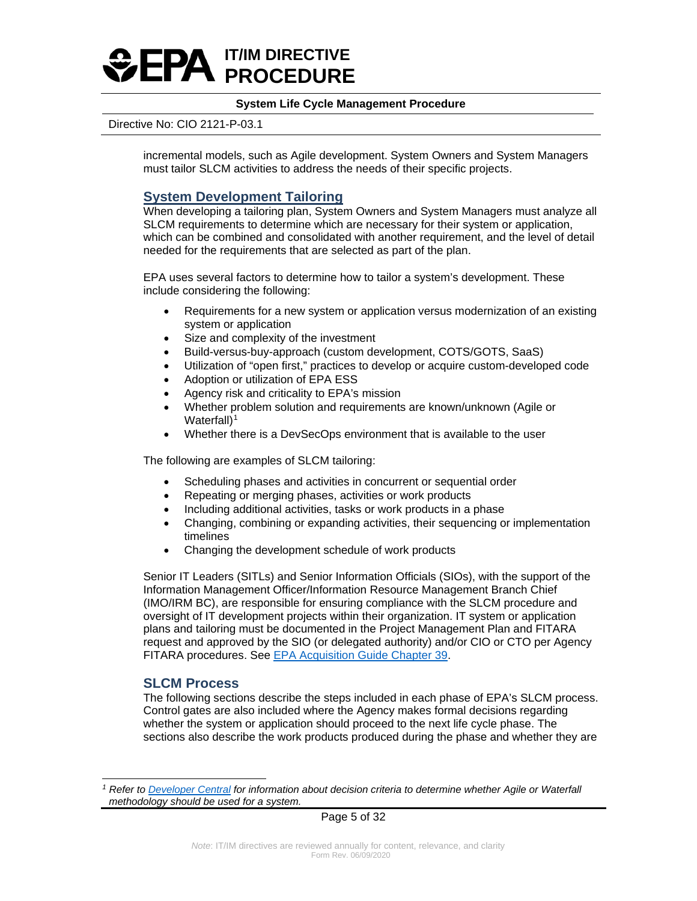

### Directive No: CIO 2121-P-03.1

incremental models, such as Agile development. System Owners and System Managers must tailor SLCM activities to address the needs of their specific projects.

## **System Development Tailoring**

When developing a tailoring plan, System Owners and System Managers must analyze all SLCM requirements to determine which are necessary for their system or application, which can be combined and consolidated with another requirement, and the level of detail needed for the requirements that are selected as part of the plan.

EPA uses several factors to determine how to tailor a system's development. These include considering the following:

- Requirements for a new system or application versus modernization of an existing system or application
- Size and complexity of the investment
- Build-versus-buy-approach (custom development, COTS/GOTS, SaaS)
- Utilization of "open first," practices to develop or acquire custom-developed code
- Adoption or utilization of EPA ESS
- Agency risk and criticality to EPA's mission
- Whether problem solution and requirements are known/unknown (Agile or Waterfall $)^1$  $)^1$
- Whether there is a DevSecOps environment that is available to the user

The following are examples of SLCM tailoring:

- Scheduling phases and activities in concurrent or sequential order
- Repeating or merging phases, activities or work products
- Including additional activities, tasks or work products in a phase
- Changing, combining or expanding activities, their sequencing or implementation timelines
- Changing the development schedule of work products

Senior IT Leaders (SITLs) and Senior Information Officials (SIOs), with the support of the Information Management Officer/Information Resource Management Branch Chief (IMO/IRM BC), are responsible for ensuring compliance with the SLCM procedure and oversight of IT development projects within their organization. IT system or application plans and tailoring must be documented in the Project Management Plan and FITARA request and approved by the SIO (or delegated authority) and/or CIO or CTO per Agency FITARA procedures. See [EPA Acquisition Guide Chapter 39.](https://contracts.epa.gov/EPAAG)

## **SLCM Process**

The following sections describe the steps included in each phase of EPA's SLCM process. Control gates are also included where the Agency makes formal decisions regarding whether the system or application should proceed to the next life cycle phase. The sections also describe the work products produced during the phase and whether they are

Page 5 of 32

<span id="page-4-0"></span>*<sup>1</sup> Refer to [Developer Central](https://developer.epa.gov/guide/templates-guides/overview/lean-portfolio/) for information about decision criteria to determine whether Agile or Waterfall methodology should be used for a system.*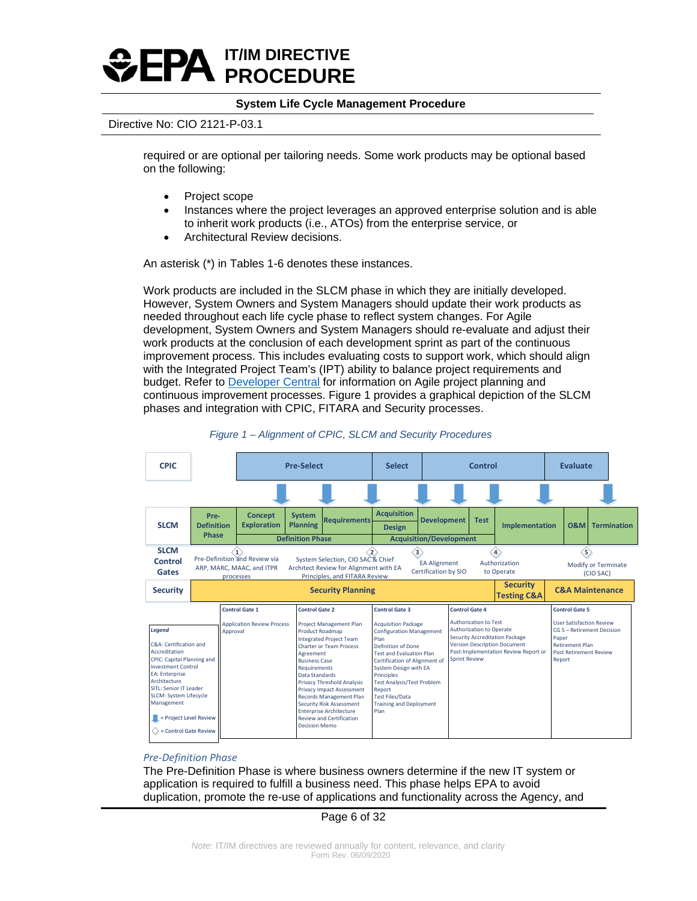

### Directive No: CIO 2121-P-03.1

required or are optional per tailoring needs. Some work products may be optional based on the following:

- Project scope
- Instances where the project leverages an approved enterprise solution and is able to inherit work products (i.e., ATOs) from the enterprise service, or
- Architectural Review decisions.

An asterisk (\*) in Tables 1-6 denotes these instances.

Work products are included in the SLCM phase in which they are initially developed. However, System Owners and System Managers should update their work products as needed throughout each life cycle phase to reflect system changes. For Agile development, System Owners and System Managers should re-evaluate and adjust their work products at the conclusion of each development sprint as part of the continuous improvement process. This includes evaluating costs to support work, which should align with the Integrated Project Team's (IPT) ability to balance project requirements and budget. Refer to [Developer Central](https://developer.epa.gov/guide/templates-guides/agile/development/) for information on Agile project planning and continuous improvement processes. Figure 1 provides a graphical depiction of the SLCM phases and integration with CPIC, FITARA and Security processes.





#### *Pre-Definition Phase*

The Pre-Definition Phase is where business owners determine if the new IT system or application is required to fulfill a business need. This phase helps EPA to avoid duplication, promote the re-use of applications and functionality across the Agency, and

### Page 6 of 32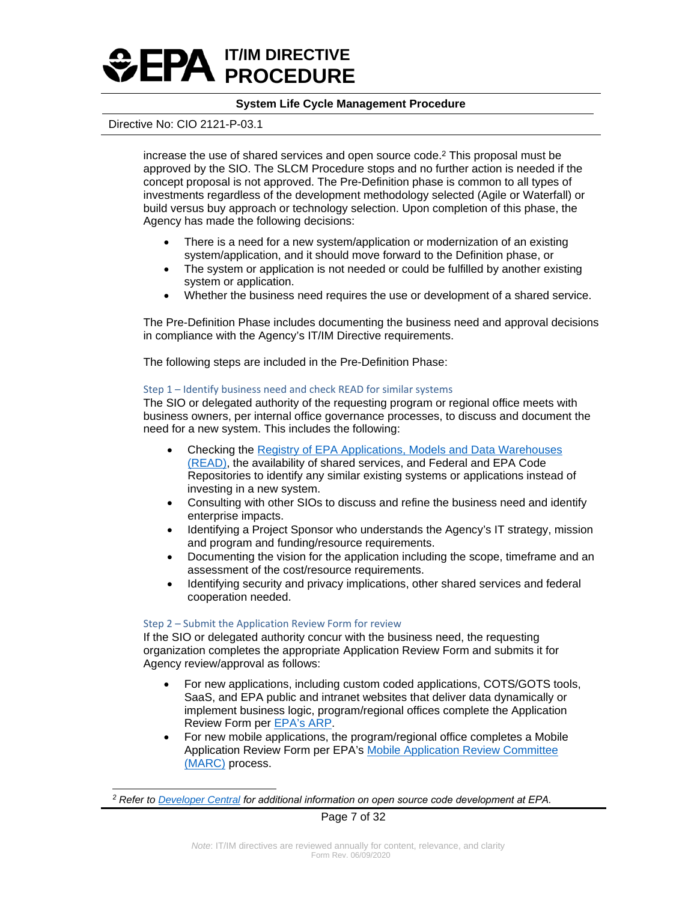

### Directive No: CIO 2121-P-03.1

increase the use of shared services and open source code. <sup>2</sup> This proposal must be approved by the SIO. The SLCM Procedure stops and no further action is needed if the concept proposal is not approved. The Pre-Definition phase is common to all types of investments regardless of the development methodology selected (Agile or Waterfall) or build versus buy approach or technology selection. Upon completion of this phase, the Agency has made the following decisions:

- There is a need for a new system/application or modernization of an existing system/application, and it should move forward to the Definition phase, or
- The system or application is not needed or could be fulfilled by another existing system or application.
- Whether the business need requires the use or development of a shared service.

The Pre-Definition Phase includes documenting the business need and approval decisions in compliance with the Agency's IT/IM Directive requirements.

The following steps are included in the Pre-Definition Phase:

### Step 1 – Identify business need and check READ for similar systems

The SIO or delegated authority of the requesting program or regional office meets with business owners, per internal office governance processes, to discuss and document the need for a new system. This includes the following:

- Checking the Registry of EPA Applications, Models [and Data Warehouses](http://epa.gov/read) [\(READ\),](http://epa.gov/read) the availability of shared services, and Federal and EPA Code Repositories to identify any similar existing systems or applications instead of investing in a new system.
- Consulting with other SIOs to discuss and refine the business need and identify enterprise impacts.
- Identifying a Project Sponsor who understands the Agency's IT strategy, mission and program and funding/resource requirements.
- Documenting the vision for the application including the scope, timeframe and an assessment of the cost/resource requirements.
- Identifying security and privacy implications, other shared services and federal cooperation needed.

### Step 2 – Submit the Application Review Form for review

If the SIO or delegated authority concur with the business need, the requesting organization completes the appropriate Application Review Form and submits it for Agency review/approval as follows:

- For new applications, including custom coded applications, COTS/GOTS tools, SaaS, and EPA public and intranet websites that deliver data dynamically or implement business logic, program/regional offices complete the Application Review Form per [EPA's ARP.](https://usepa.sharepoint.com/sites/oei_Work/ODSTA/AppGov/SitePages/Home.aspx)
- For new mobile applications, the program/regional office completes a Mobile Application Review Form per EPA's [Mobile Application Review Committee](https://www.epa.gov/webguide/mobile-access-review-committee) [\(MARC\)](https://www.epa.gov/webguide/mobile-access-review-committee) process.

*<sup>2</sup> Refer to [Developer Central](https://developer.epa.gov/guide/open-source-code/) for additional information on open source code development at EPA.*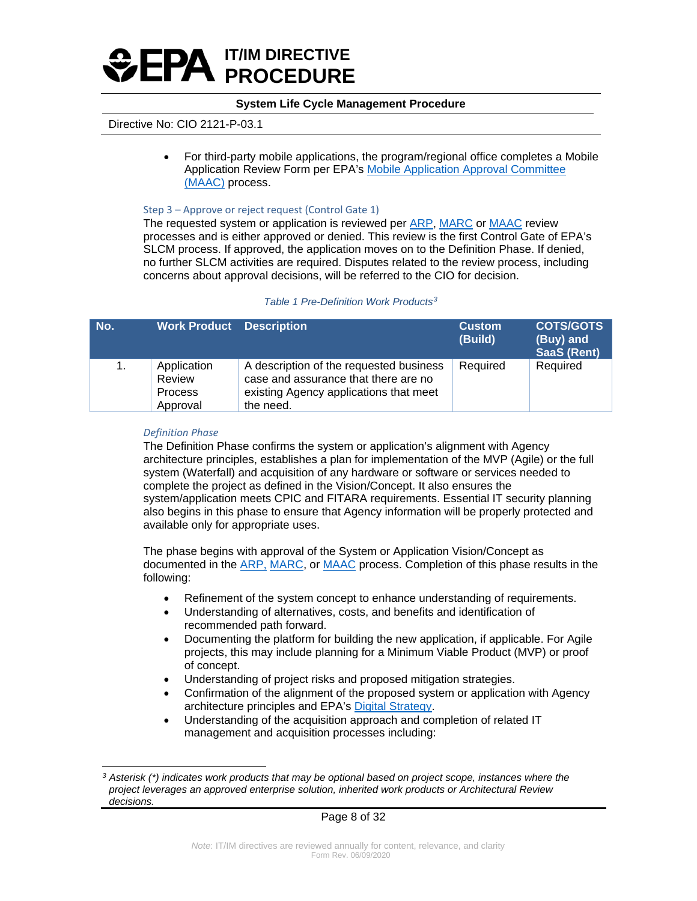

## Directive No: CIO 2121-P-03.1

• For third-party mobile applications, the program/regional office completes a Mobile Application Review Form per EPA's [Mobile Application Approval Committee](https://intranet.epa.gov/mobiledevices/resources/app-approval-process.html)  [\(MAAC\)](https://intranet.epa.gov/mobiledevices/resources/app-approval-process.html) process.

### Step 3 – Approve or reject request (Control Gate 1)

The requested system or application is reviewed per [ARP,](https://usepa.sharepoint.com/sites/oei_Work/ODSTA/AppGov/SitePages/Home.aspx) [MARC](https://www.epa.gov/webguide/mobile-access-review-committee) or [MAAC](https://intranet.epa.gov/mobiledevices/resources/app-approval-process.html) review processes and is either approved or denied. This review is the first Control Gate of EPA's SLCM process. If approved, the application moves on to the Definition Phase. If denied, no further SLCM activities are required. Disputes related to the review process, including concerns about approval decisions, will be referred to the CIO for decision.

### *Table 1 Pre-Definition Work Products[3](#page-7-0)*

| No. | <b>Work Product Description</b>                     |                                                                                                                                        | <b>Custom</b><br>(Build) | <b>COTS/GOTS</b><br>(Buy) and<br><b>SaaS (Rent)</b> |
|-----|-----------------------------------------------------|----------------------------------------------------------------------------------------------------------------------------------------|--------------------------|-----------------------------------------------------|
| 1.  | Application<br>Review<br><b>Process</b><br>Approval | A description of the requested business<br>case and assurance that there are no<br>existing Agency applications that meet<br>the need. | Required                 | Required                                            |

### *Definition Phase*

The Definition Phase confirms the system or application's alignment with Agency architecture principles, establishes a plan for implementation of the MVP (Agile) or the full system (Waterfall) and acquisition of any hardware or software or services needed to complete the project as defined in the Vision/Concept. It also ensures the system/application meets CPIC and FITARA requirements. Essential IT security planning also begins in this phase to ensure that Agency information will be properly protected and available only for appropriate uses.

The phase begins with approval of the System or Application Vision/Concept as documented in the [ARP,](https://usepa.sharepoint.com/sites/oei_Work/ODSTA/AppGov/SitePages/Home.aspx) [MARC,](https://www.epa.gov/webguide/mobile-access-review-committee) or [MAAC](https://intranet.epa.gov/mobiledevices/resources/app-approval-process.html) process. Completion of this phase results in the following:

- Refinement of the system concept to enhance understanding of requirements.
- Understanding of alternatives, costs, and benefits and identification of recommended path forward.
- Documenting the platform for building the new application, if applicable. For Agile projects, this may include planning for a Minimum Viable Product (MVP) or proof of concept.
- Understanding of project risks and proposed mitigation strategies.
- Confirmation of the alignment of the proposed system or application with Agency architecture principles and EPA's [Digital Strategy.](https://e-enterprisefortheenvironment.net/wp-content/uploads/2019/08/Interim-E-Enterprise-Digital-Strategy-V-2.0.pdf)
- Understanding of the acquisition approach and completion of related IT management and acquisition processes including:

<span id="page-7-0"></span>*<sup>3</sup> Asterisk (\*) indicates work products that may be optional based on project scope, instances where the project leverages an approved enterprise solution, inherited work products or Architectural Review decisions.*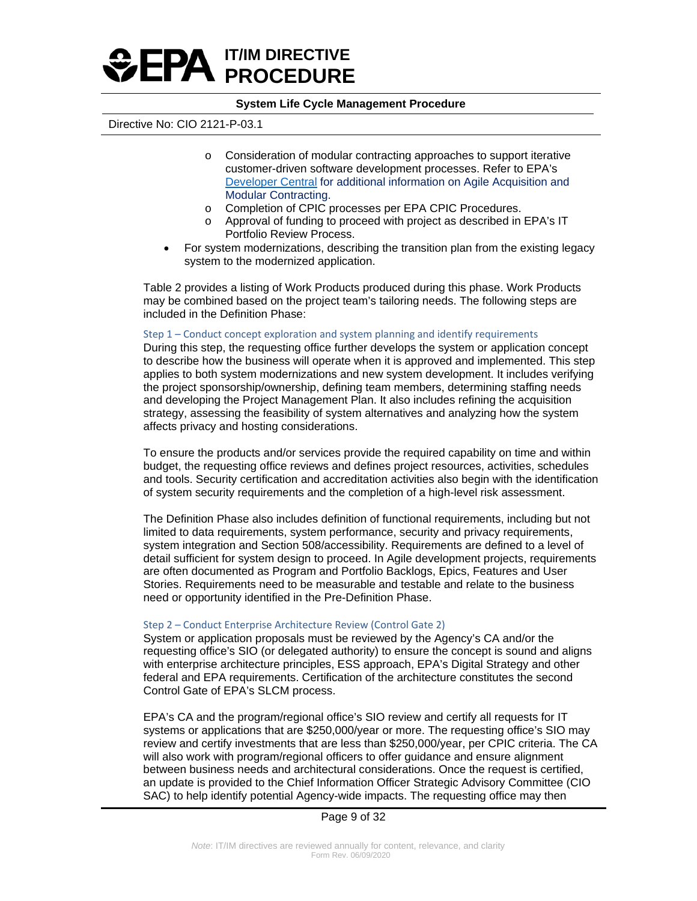

### Directive No: CIO 2121-P-03.1

- o Consideration of modular contracting approaches to support iterative customer-driven software development processes. Refer to EPA's [Developer Central](https://developer.epa.gov/guide/templates-guides/agile/agile-acquisition/) for additional information on Agile Acquisition and Modular Contracting.
- o Completion of CPIC processes per EPA CPIC Procedures.
- o Approval of funding to proceed with project as described in EPA's IT Portfolio Review Process.
- For system modernizations, describing the transition plan from the existing legacy system to the modernized application.

Table 2 provides a listing of Work Products produced during this phase. Work Products may be combined based on the project team's tailoring needs. The following steps are included in the Definition Phase:

### Step 1 – Conduct concept exploration and system planning and identify requirements

During this step, the requesting office further develops the system or application concept to describe how the business will operate when it is approved and implemented. This step applies to both system modernizations and new system development. It includes verifying the project sponsorship/ownership, defining team members, determining staffing needs and developing the Project Management Plan. It also includes refining the acquisition strategy, assessing the feasibility of system alternatives and analyzing how the system affects privacy and hosting considerations.

To ensure the products and/or services provide the required capability on time and within budget, the requesting office reviews and defines project resources, activities, schedules and tools. Security certification and accreditation activities also begin with the identification of system security requirements and the completion of a high-level risk assessment.

The Definition Phase also includes definition of functional requirements, including but not limited to data requirements, system performance, security and privacy requirements, system integration and Section 508/accessibility. Requirements are defined to a level of detail sufficient for system design to proceed. In Agile development projects, requirements are often documented as Program and Portfolio Backlogs, Epics, Features and User Stories. Requirements need to be measurable and testable and relate to the business need or opportunity identified in the Pre-Definition Phase.

### Step 2 – Conduct Enterprise Architecture Review (Control Gate 2)

System or application proposals must be reviewed by the Agency's CA and/or the requesting office's SIO (or delegated authority) to ensure the concept is sound and aligns with enterprise architecture principles, ESS approach, EPA's Digital Strategy and other federal and EPA requirements. Certification of the architecture constitutes the second Control Gate of EPA's SLCM process.

EPA's CA and the program/regional office's SIO review and certify all requests for IT systems or applications that are \$250,000/year or more. The requesting office's SIO may review and certify investments that are less than \$250,000/year, per CPIC criteria. The CA will also work with program/regional officers to offer guidance and ensure alignment between business needs and architectural considerations. Once the request is certified, an update is provided to the Chief Information Officer Strategic Advisory Committee (CIO SAC) to help identify potential Agency-wide impacts. The requesting office may then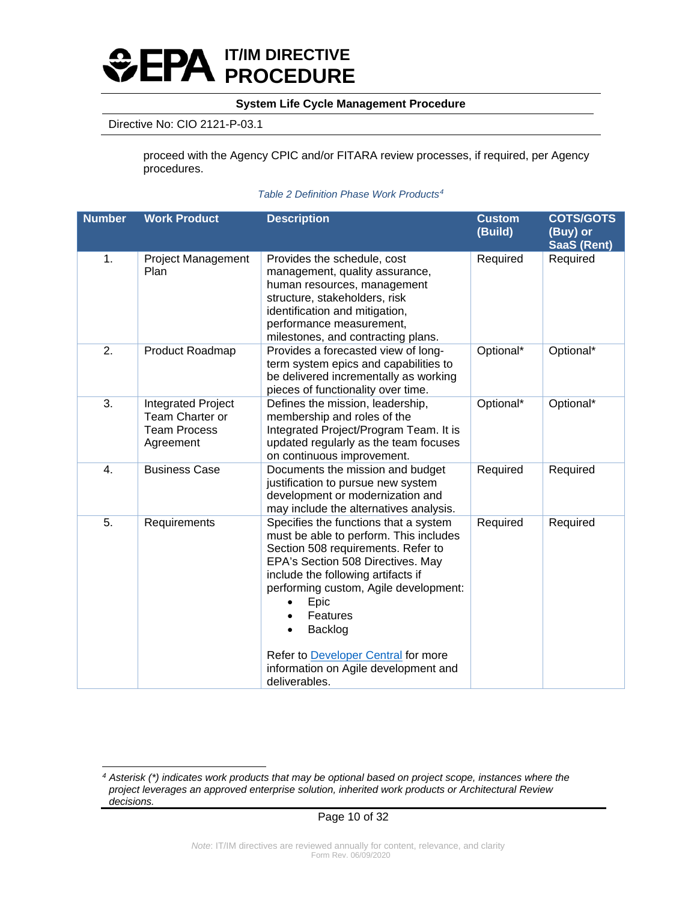

## Directive No: CIO 2121-P-03.1

proceed with the Agency CPIC and/or FITARA review processes, if required, per Agency procedures.

## *Table 2 Definition Phase Work Products[4](#page-9-0)*

| <b>Number</b> | <b>Work Product</b>                                                       | <b>Description</b>                                                                                                                                                                                                                                                                                                                                                       | <b>Custom</b><br>(Build) | <b>COTS/GOTS</b><br>(Buy) or<br><b>SaaS (Rent)</b> |
|---------------|---------------------------------------------------------------------------|--------------------------------------------------------------------------------------------------------------------------------------------------------------------------------------------------------------------------------------------------------------------------------------------------------------------------------------------------------------------------|--------------------------|----------------------------------------------------|
| 1.            | <b>Project Management</b><br>Plan                                         | Provides the schedule, cost<br>management, quality assurance,<br>human resources, management<br>structure, stakeholders, risk<br>identification and mitigation,<br>performance measurement,<br>milestones, and contracting plans.                                                                                                                                        | Required                 | Required                                           |
| 2.            | Product Roadmap                                                           | Provides a forecasted view of long-<br>term system epics and capabilities to<br>be delivered incrementally as working<br>pieces of functionality over time.                                                                                                                                                                                                              | Optional*                | Optional*                                          |
| 3.            | Integrated Project<br>Team Charter or<br><b>Team Process</b><br>Agreement | Defines the mission, leadership,<br>membership and roles of the<br>Integrated Project/Program Team. It is<br>updated regularly as the team focuses<br>on continuous improvement.                                                                                                                                                                                         | Optional*                | Optional*                                          |
| 4.            | <b>Business Case</b>                                                      | Documents the mission and budget<br>justification to pursue new system<br>development or modernization and<br>may include the alternatives analysis.                                                                                                                                                                                                                     | Required                 | Required                                           |
| 5.            | Requirements                                                              | Specifies the functions that a system<br>must be able to perform. This includes<br>Section 508 requirements. Refer to<br>EPA's Section 508 Directives. May<br>include the following artifacts if<br>performing custom, Agile development:<br>Epic<br>Features<br>Backlog<br>Refer to Developer Central for more<br>information on Agile development and<br>deliverables. | Required                 | Required                                           |

<span id="page-9-0"></span>*<sup>4</sup> Asterisk (\*) indicates work products that may be optional based on project scope, instances where the project leverages an approved enterprise solution, inherited work products or Architectural Review decisions.*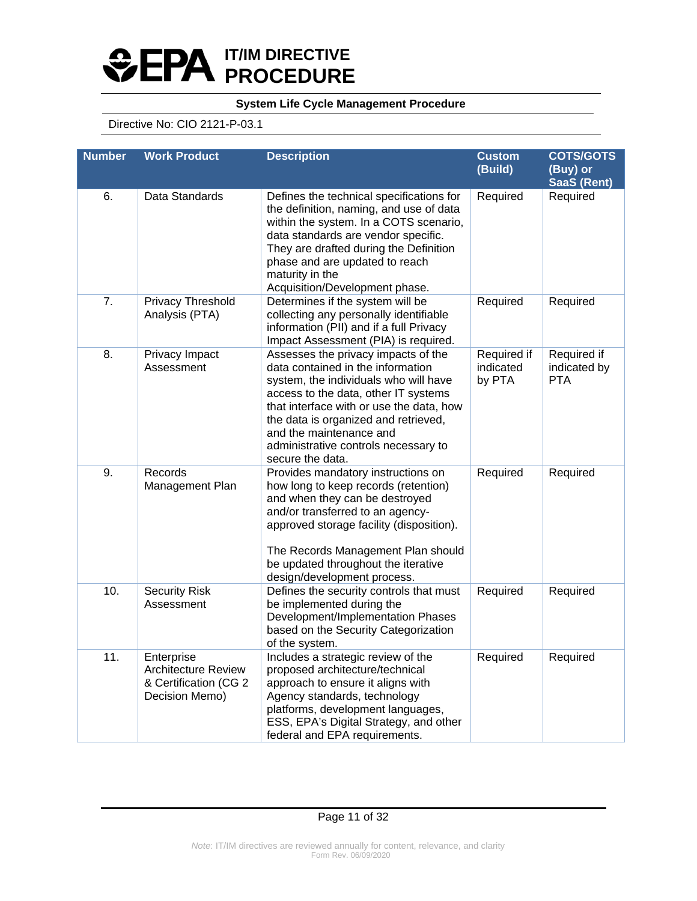# **IT/IM DIRECTIVE PROCEDURE**

## **System Life Cycle Management Procedure**

## Directive No: CIO 2121-P-03.1

| <b>Number</b> | <b>Description</b><br><b>Work Product</b>                                           |                                                                                                                                                                                                                                                                                                                                      | <b>Custom</b><br>(Build)           | <b>COTS/GOTS</b><br>(Buy) or<br><b>SaaS (Rent)</b> |  |
|---------------|-------------------------------------------------------------------------------------|--------------------------------------------------------------------------------------------------------------------------------------------------------------------------------------------------------------------------------------------------------------------------------------------------------------------------------------|------------------------------------|----------------------------------------------------|--|
| 6.            | Data Standards                                                                      | Defines the technical specifications for<br>the definition, naming, and use of data<br>within the system. In a COTS scenario,<br>data standards are vendor specific.<br>They are drafted during the Definition<br>phase and are updated to reach<br>maturity in the<br>Acquisition/Development phase.                                | Required                           | Required                                           |  |
| 7.            | Privacy Threshold<br>Analysis (PTA)                                                 | Determines if the system will be<br>collecting any personally identifiable<br>information (PII) and if a full Privacy<br>Impact Assessment (PIA) is required.                                                                                                                                                                        | Required                           | Required                                           |  |
| 8.            | Privacy Impact<br>Assessment                                                        | Assesses the privacy impacts of the<br>data contained in the information<br>system, the individuals who will have<br>access to the data, other IT systems<br>that interface with or use the data, how<br>the data is organized and retrieved,<br>and the maintenance and<br>administrative controls necessary to<br>secure the data. | Required if<br>indicated<br>by PTA | Required if<br>indicated by<br><b>PTA</b>          |  |
| 9.            | Records<br>Management Plan                                                          | Provides mandatory instructions on<br>how long to keep records (retention)<br>and when they can be destroyed<br>and/or transferred to an agency-<br>approved storage facility (disposition).<br>The Records Management Plan should<br>be updated throughout the iterative<br>design/development process.                             | Required                           | Required                                           |  |
| 10.           | <b>Security Risk</b><br>Assessment                                                  | Defines the security controls that must<br>be implemented during the<br>Development/Implementation Phases<br>based on the Security Categorization<br>of the system.                                                                                                                                                                  | Required                           | Required                                           |  |
| 11.           | Enterprise<br><b>Architecture Review</b><br>& Certification (CG 2<br>Decision Memo) | Includes a strategic review of the<br>proposed architecture/technical<br>approach to ensure it aligns with<br>Agency standards, technology<br>platforms, development languages,<br>ESS, EPA's Digital Strategy, and other<br>federal and EPA requirements.                                                                           | Required                           | Required                                           |  |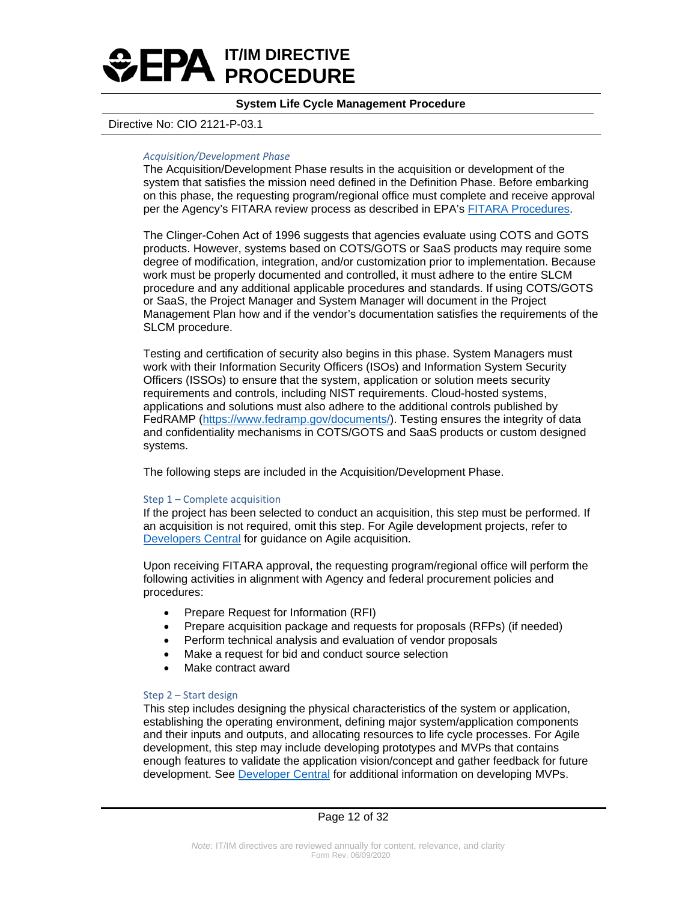

### Directive No: CIO 2121-P-03.1

### *Acquisition/Development Phase*

The Acquisition/Development Phase results in the acquisition or development of the system that satisfies the mission need defined in the Definition Phase. Before embarking on this phase, the requesting program/regional office must complete and receive approval per the Agency's FITARA review process as described in EPA's [FITARA Procedures.](https://usepa.sharepoint.com/:w:/r/sites/oei/OCAPPM/FITARA/ITAcquisitionApproval/_layouts/15/Doc.aspx?sourcedoc=%7BF0180386-0457-43F3-9E9A-781931513410%7D&file=EPAAG%2039.1.1(IdentifyingIT).docx&action=default&mobileredirect=true)

The Clinger-Cohen Act of 1996 suggests that agencies evaluate using COTS and GOTS products. However, systems based on COTS/GOTS or SaaS products may require some degree of modification, integration, and/or customization prior to implementation. Because work must be properly documented and controlled, it must adhere to the entire SLCM procedure and any additional applicable procedures and standards. If using COTS/GOTS or SaaS, the Project Manager and System Manager will document in the Project Management Plan how and if the vendor's documentation satisfies the requirements of the SLCM procedure.

Testing and certification of security also begins in this phase. System Managers must work with their Information Security Officers (ISOs) and Information System Security Officers (ISSOs) to ensure that the system, application or solution meets security requirements and controls, including NIST requirements. Cloud-hosted systems, applications and solutions must also adhere to the additional controls published by FedRAMP [\(https://www.fedramp.gov/documents/\)](https://www.fedramp.gov/documents/). Testing ensures the integrity of data and confidentiality mechanisms in COTS/GOTS and SaaS products or custom designed systems.

The following steps are included in the Acquisition/Development Phase.

### Step 1 – Complete acquisition

If the project has been selected to conduct an acquisition, this step must be performed. If an acquisition is not required, omit this step. For Agile development projects, refer to [Developers Central](https://developer.epa.gov/guide/templates-guides/agile/agile-acquisition/) for guidance on Agile acquisition.

Upon receiving FITARA approval, the requesting program/regional office will perform the following activities in alignment with Agency and federal procurement policies and procedures:

- Prepare Request for Information (RFI)
- Prepare acquisition package and requests for proposals (RFPs) (if needed)
- Perform technical analysis and evaluation of vendor proposals
- Make a request for bid and conduct source selection
- Make contract award

### Step 2 – Start design

This step includes designing the physical characteristics of the system or application, establishing the operating environment, defining major system/application components and their inputs and outputs, and allocating resources to life cycle processes. For Agile development, this step may include developing prototypes and MVPs that contains enough features to validate the application vision/concept and gather feedback for future development. See [Developer Central](https://developer.epa.gov/guide/templates-guides/agile/discovery/) for additional information on developing MVPs.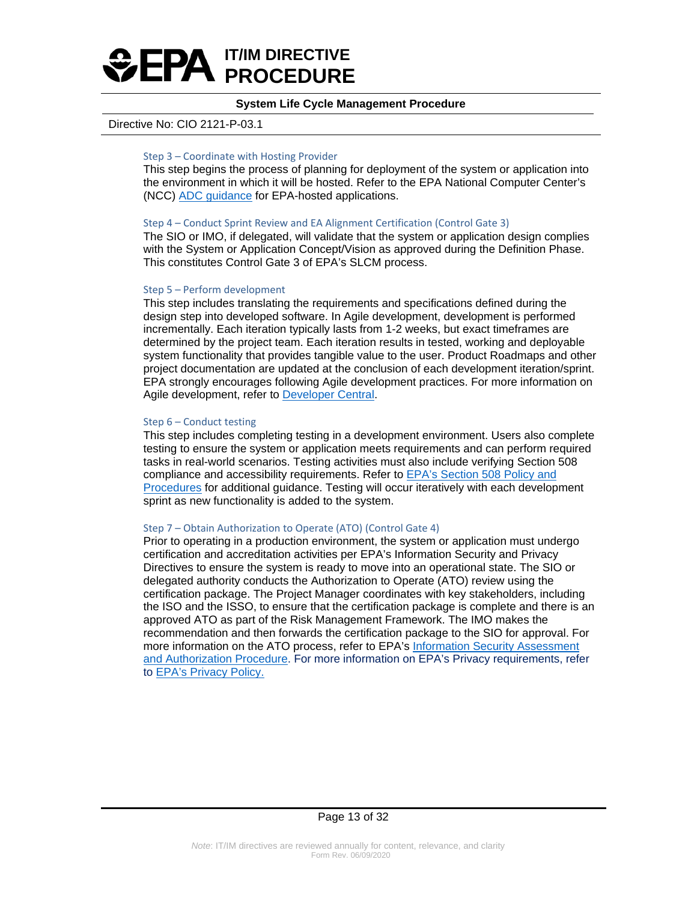

### Directive No: CIO 2121-P-03.1

### Step 3 – Coordinate with Hosting Provider

This step begins the process of planning for deployment of the system or application into the environment in which it will be hosted. Refer to the EPA National Computer Center's (NCC) [ADC guidance](https://cfint.rtpnc.epa.gov/adc/reviewcenter/index.cfm?fuseaction=home.FAQ) for EPA-hosted applications.

### Step 4 – Conduct Sprint Review and EA Alignment Certification (Control Gate 3)

The SIO or IMO, if delegated, will validate that the system or application design complies with the System or Application Concept/Vision as approved during the Definition Phase. This constitutes Control Gate 3 of EPA's SLCM process.

### Step 5 – Perform development

This step includes translating the requirements and specifications defined during the design step into developed software. In Agile development, development is performed incrementally. Each iteration typically lasts from 1-2 weeks, but exact timeframes are determined by the project team. Each iteration results in tested, working and deployable system functionality that provides tangible value to the user. Product Roadmaps and other project documentation are updated at the conclusion of each development iteration/sprint. EPA strongly encourages following Agile development practices. For more information on Agile development, refer to [Developer Central.](https://developer.epa.gov/guide/templates-guides/agile)

### Step 6 – Conduct testing

This step includes completing testing in a development environment. Users also complete testing to ensure the system or application meets requirements and can perform required tasks in real-world scenarios. Testing activities must also include verifying Section 508 compliance and accessibility requirements. Refer to [EPA's Section 508 Policy and](https://www.epa.gov/irmpoli8/policy-standards-procedures-and-guidelines-accessible-electronic-and-information-technology)  [Procedures](https://www.epa.gov/irmpoli8/policy-standards-procedures-and-guidelines-accessible-electronic-and-information-technology) for additional guidance. Testing will occur iteratively with each development sprint as new functionality is added to the system.

### Step 7 – Obtain Authorization to Operate (ATO) (Control Gate 4)

Prior to operating in a production environment, the system or application must undergo certification and accreditation activities per EPA's Information Security and Privacy Directives to ensure the system is ready to move into an operational state. The SIO or delegated authority conducts the Authorization to Operate (ATO) review using the certification package. The Project Manager coordinates with key stakeholders, including the ISO and the ISSO, to ensure that the certification package is complete and there is an approved ATO as part of the Risk Management Framework. The IMO makes the recommendation and then forwards the certification package to the SIO for approval. For more information on the ATO process, refer to EPA's [Information Security Assessment](https://www.epa.gov/sites/production/files/2016-06/documents/cio_2150-p-04_2.pdf)  [and Authorization Procedure.](https://www.epa.gov/sites/production/files/2016-06/documents/cio_2150-p-04_2.pdf) For more information on EPA's Privacy requirements, refer to [EPA's Privacy Policy.](https://www.epa.gov/sites/production/files/2015-09/documents/2151.1.pdf)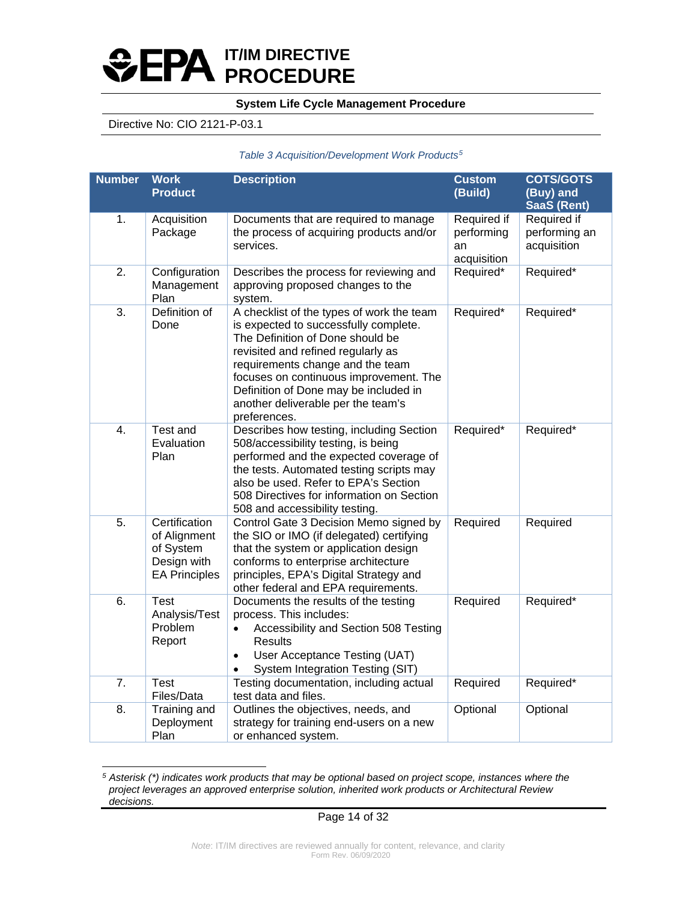# **IT/IM DIRECTIVE PROCEDURE**

## **System Life Cycle Management Procedure**

## Directive No: CIO 2121-P-03.1

### *Table 3 Acquisition/Development Work Products[5](#page-13-0)*

| <b>Number</b>    | <b>Work</b><br><b>Product</b>                                                     | <b>Description</b>                                                                                                                                                                                                                                                                                                                        | <b>Custom</b><br>(Build)                       | <b>COTS/GOTS</b><br>(Buy) and<br><b>SaaS (Rent)</b> |
|------------------|-----------------------------------------------------------------------------------|-------------------------------------------------------------------------------------------------------------------------------------------------------------------------------------------------------------------------------------------------------------------------------------------------------------------------------------------|------------------------------------------------|-----------------------------------------------------|
| 1.               | Acquisition<br>Package                                                            | Documents that are required to manage<br>the process of acquiring products and/or<br>services.                                                                                                                                                                                                                                            | Required if<br>performing<br>an<br>acquisition | Required if<br>performing an<br>acquisition         |
| 2.               | Configuration<br>Management<br>Plan                                               | Describes the process for reviewing and<br>approving proposed changes to the<br>system.                                                                                                                                                                                                                                                   | Required*                                      | Required*                                           |
| 3.               | Definition of<br>Done                                                             | A checklist of the types of work the team<br>is expected to successfully complete.<br>The Definition of Done should be<br>revisited and refined regularly as<br>requirements change and the team<br>focuses on continuous improvement. The<br>Definition of Done may be included in<br>another deliverable per the team's<br>preferences. | Required*                                      | Required*                                           |
| $\overline{4}$ . | Test and<br>Evaluation<br>Plan                                                    | Describes how testing, including Section<br>508/accessibility testing, is being<br>performed and the expected coverage of<br>the tests. Automated testing scripts may<br>also be used. Refer to EPA's Section<br>508 Directives for information on Section<br>508 and accessibility testing.                                              | Required*                                      | Required*                                           |
| 5.               | Certification<br>of Alignment<br>of System<br>Design with<br><b>EA Principles</b> | Control Gate 3 Decision Memo signed by<br>the SIO or IMO (if delegated) certifying<br>that the system or application design<br>conforms to enterprise architecture<br>principles, EPA's Digital Strategy and<br>other federal and EPA requirements.                                                                                       | Required                                       | Required                                            |
| 6.               | <b>Test</b><br>Analysis/Test<br>Problem<br>Report                                 | Documents the results of the testing<br>process. This includes:<br>Accessibility and Section 508 Testing<br>$\bullet$<br>Results<br>User Acceptance Testing (UAT)<br>$\bullet$<br>System Integration Testing (SIT)                                                                                                                        | Required                                       | Required*                                           |
| 7.               | <b>Test</b><br>Files/Data                                                         | Testing documentation, including actual<br>test data and files.                                                                                                                                                                                                                                                                           | Required                                       | Required*                                           |
| 8.               | Training and<br>Deployment<br>Plan                                                | Outlines the objectives, needs, and<br>strategy for training end-users on a new<br>or enhanced system.                                                                                                                                                                                                                                    | Optional                                       | Optional                                            |

<span id="page-13-0"></span>*<sup>5</sup> Asterisk (\*) indicates work products that may be optional based on project scope, instances where the project leverages an approved enterprise solution, inherited work products or Architectural Review decisions.*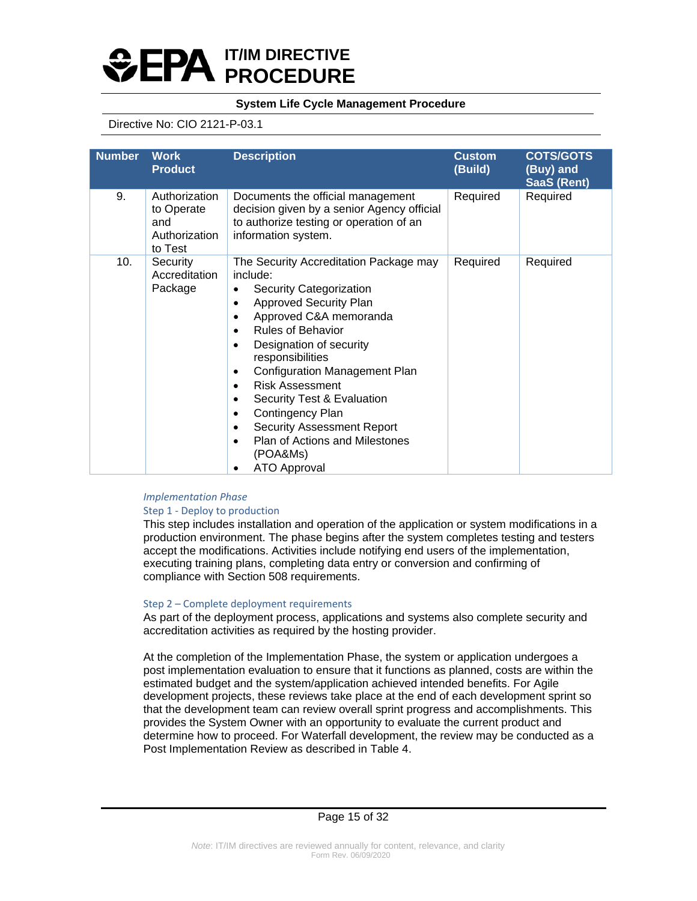

## Directive No: CIO 2121-P-03.1

| <b>Number</b> | <b>Work</b><br><b>Product</b>                                  | <b>Description</b>                                                                                                                                                                                                                                                                                                                                                                                                                                                  | <b>Custom</b><br>(Build) | <b>COTS/GOTS</b><br>(Buy) and<br>SaaS (Rent) |
|---------------|----------------------------------------------------------------|---------------------------------------------------------------------------------------------------------------------------------------------------------------------------------------------------------------------------------------------------------------------------------------------------------------------------------------------------------------------------------------------------------------------------------------------------------------------|--------------------------|----------------------------------------------|
| 9.            | Authorization<br>to Operate<br>and<br>Authorization<br>to Test | Documents the official management<br>decision given by a senior Agency official<br>to authorize testing or operation of an<br>information system.                                                                                                                                                                                                                                                                                                                   | Required                 | Required                                     |
| 10.           | Security<br>Accreditation<br>Package                           | The Security Accreditation Package may<br>include:<br>Security Categorization<br><b>Approved Security Plan</b><br>Approved C&A memoranda<br><b>Rules of Behavior</b><br>$\bullet$<br>Designation of security<br>responsibilities<br><b>Configuration Management Plan</b><br><b>Risk Assessment</b><br>Security Test & Evaluation<br>Contingency Plan<br>٠<br><b>Security Assessment Report</b><br>Plan of Actions and Milestones<br>(POA&Ms)<br><b>ATO Approval</b> | Required                 | Required                                     |

### *Implementation Phase*

### Step 1 - Deploy to production

This step includes installation and operation of the application or system modifications in a production environment. The phase begins after the system completes testing and testers accept the modifications. Activities include notifying end users of the implementation, executing training plans, completing data entry or conversion and confirming of compliance with Section 508 requirements.

### Step 2 – Complete deployment requirements

As part of the deployment process, applications and systems also complete security and accreditation activities as required by the hosting provider.

At the completion of the Implementation Phase, the system or application undergoes a post implementation evaluation to ensure that it functions as planned, costs are within the estimated budget and the system/application achieved intended benefits. For Agile development projects, these reviews take place at the end of each development sprint so that the development team can review overall sprint progress and accomplishments. This provides the System Owner with an opportunity to evaluate the current product and determine how to proceed. For Waterfall development, the review may be conducted as a Post Implementation Review as described in Table 4.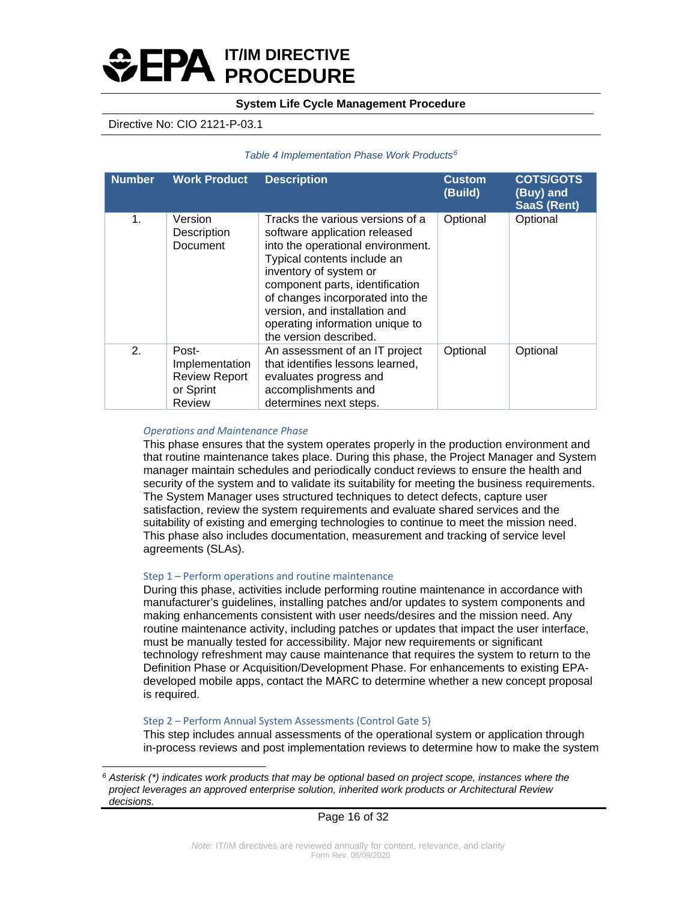# **IT/IM DIRECTIVE PROCEDURE**

## **System Life Cycle Management Procedure**

## Directive No: CIO 2121-P-03.1

### *Table 4 Implementation Phase Work Products[6](#page-15-0)*

| <b>Number</b> | <b>Work Product</b>                                                    | <b>Description</b>                                                                                                                                                                                                                                                                                                                   | <b>Custom</b><br>(Build) | <b>COTS/GOTS</b><br>(Buy) and<br><b>SaaS (Rent)</b> |
|---------------|------------------------------------------------------------------------|--------------------------------------------------------------------------------------------------------------------------------------------------------------------------------------------------------------------------------------------------------------------------------------------------------------------------------------|--------------------------|-----------------------------------------------------|
| 1.            | Version<br>Description<br>Document                                     | Tracks the various versions of a<br>software application released<br>into the operational environment.<br>Typical contents include an<br>inventory of system or<br>component parts, identification<br>of changes incorporated into the<br>version, and installation and<br>operating information unique to<br>the version described. | Optional                 | Optional                                            |
| 2.            | Post-<br>Implementation<br><b>Review Report</b><br>or Sprint<br>Review | An assessment of an IT project<br>that identifies lessons learned,<br>evaluates progress and<br>accomplishments and<br>determines next steps.                                                                                                                                                                                        | Optional                 | Optional                                            |

### *Operations and Maintenance Phase*

This phase ensures that the system operates properly in the production environment and that routine maintenance takes place. During this phase, the Project Manager and System manager maintain schedules and periodically conduct reviews to ensure the health and security of the system and to validate its suitability for meeting the business requirements. The System Manager uses structured techniques to detect defects, capture user satisfaction, review the system requirements and evaluate shared services and the suitability of existing and emerging technologies to continue to meet the mission need. This phase also includes documentation, measurement and tracking of service level agreements (SLAs).

### Step 1 – Perform operations and routine maintenance

During this phase, activities include performing routine maintenance in accordance with manufacturer's guidelines, installing patches and/or updates to system components and making enhancements consistent with user needs/desires and the mission need. Any routine maintenance activity, including patches or updates that impact the user interface, must be manually tested for accessibility. Major new requirements or significant technology refreshment may cause maintenance that requires the system to return to the Definition Phase or Acquisition/Development Phase. For enhancements to existing EPAdeveloped mobile apps, contact the MARC to determine whether a new concept proposal is required.

### Step 2 – Perform Annual System Assessments (Control Gate 5)

This step includes annual assessments of the operational system or application through in-process reviews and post implementation reviews to determine how to make the system

<span id="page-15-0"></span>*<sup>6</sup> Asterisk (\*) indicates work products that may be optional based on project scope, instances where the project leverages an approved enterprise solution, inherited work products or Architectural Review decisions.*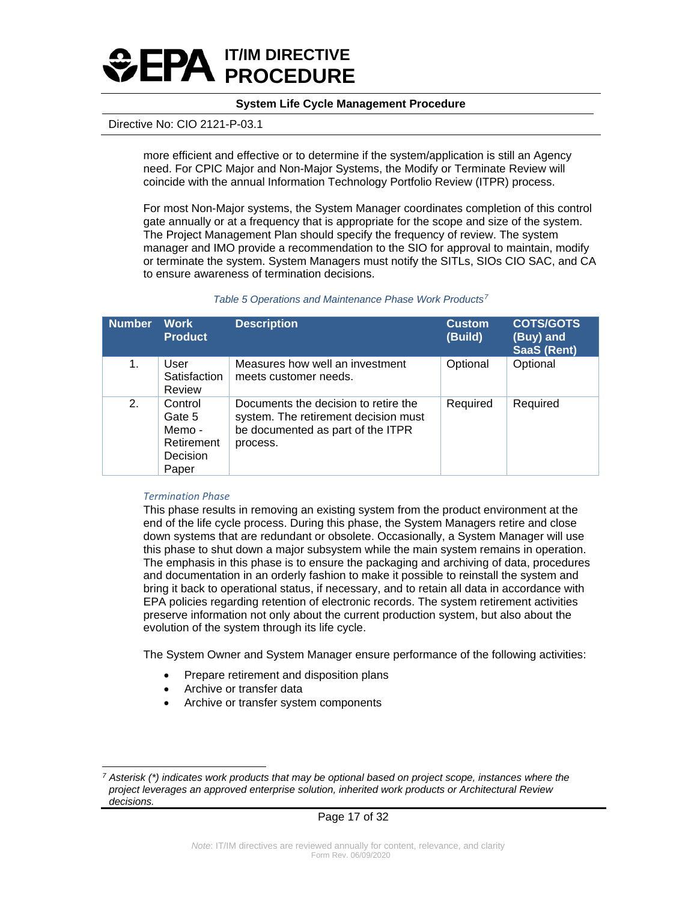

### Directive No: CIO 2121-P-03.1

more efficient and effective or to determine if the system/application is still an Agency need. For CPIC Major and Non-Major Systems, the Modify or Terminate Review will coincide with the annual Information Technology Portfolio Review (ITPR) process.

For most Non-Major systems, the System Manager coordinates completion of this control gate annually or at a frequency that is appropriate for the scope and size of the system. The Project Management Plan should specify the frequency of review. The system manager and IMO provide a recommendation to the SIO for approval to maintain, modify or terminate the system. System Managers must notify the SITLs, SIOs CIO SAC, and CA to ensure awareness of termination decisions.

| <b>Number</b> | <b>Work</b><br><b>Product</b>                                  | <b>Description</b>                                                                                                            | <b>Custom</b><br>(Build) | <b>COTS/GOTS</b><br>(Buy) and<br><b>SaaS (Rent)</b> |
|---------------|----------------------------------------------------------------|-------------------------------------------------------------------------------------------------------------------------------|--------------------------|-----------------------------------------------------|
| 1.            | User<br>Satisfaction<br>Review                                 | Measures how well an investment<br>meets customer needs.                                                                      | Optional                 | Optional                                            |
| 2.            | Control<br>Gate 5<br>Memo -<br>Retirement<br>Decision<br>Paper | Documents the decision to retire the<br>system. The retirement decision must<br>be documented as part of the ITPR<br>process. | Required                 | Required                                            |

#### *Table 5 Operations and Maintenance Phase Work Products[7](#page-16-0)*

### *Termination Phase*

This phase results in removing an existing system from the product environment at the end of the life cycle process. During this phase, the System Managers retire and close down systems that are redundant or obsolete. Occasionally, a System Manager will use this phase to shut down a major subsystem while the main system remains in operation. The emphasis in this phase is to ensure the packaging and archiving of data, procedures and documentation in an orderly fashion to make it possible to reinstall the system and bring it back to operational status, if necessary, and to retain all data in accordance with EPA policies regarding retention of electronic records. The system retirement activities preserve information not only about the current production system, but also about the evolution of the system through its life cycle.

The System Owner and System Manager ensure performance of the following activities:

- Prepare retirement and disposition plans
- Archive or transfer data
- Archive or transfer system components

<span id="page-16-0"></span>*<sup>7</sup> Asterisk (\*) indicates work products that may be optional based on project scope, instances where the project leverages an approved enterprise solution, inherited work products or Architectural Review decisions.*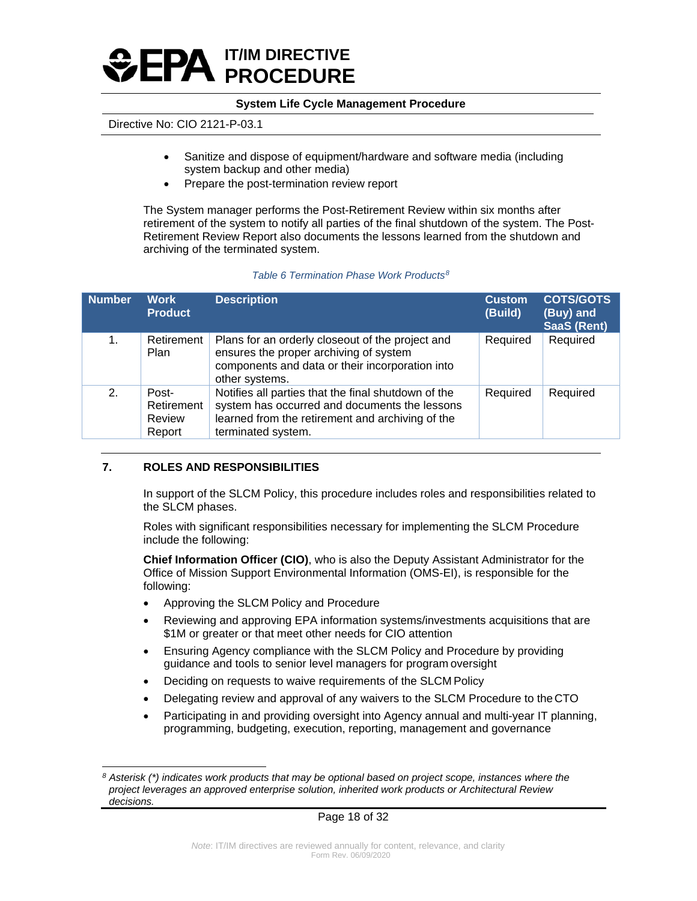

## Directive No: CIO 2121-P-03.1

- Sanitize and dispose of equipment/hardware and software media (including system backup and other media)
- Prepare the post-termination review report

The System manager performs the Post-Retirement Review within six months after retirement of the system to notify all parties of the final shutdown of the system. The Post-Retirement Review Report also documents the lessons learned from the shutdown and archiving of the terminated system.

### *Table 6 Termination Phase Work Products[8](#page-17-0)*

| <b>Number</b> | <b>Work</b><br><b>Product</b>           | <b>Description</b>                                                                                                                                                             | <b>Custom</b><br>(Build) | <b>COTS/GOTS</b><br>(Buy) and<br><b>SaaS (Rent)</b> |
|---------------|-----------------------------------------|--------------------------------------------------------------------------------------------------------------------------------------------------------------------------------|--------------------------|-----------------------------------------------------|
| 1.            | Retirement<br>Plan                      | Plans for an orderly closeout of the project and<br>ensures the proper archiving of system<br>components and data or their incorporation into<br>other systems.                | Required                 | Required                                            |
| 2.            | Post-<br>Retirement<br>Review<br>Report | Notifies all parties that the final shutdown of the<br>system has occurred and documents the lessons<br>learned from the retirement and archiving of the<br>terminated system. | Required                 | Required                                            |

### **7. ROLES AND RESPONSIBILITIES**

In support of the SLCM Policy, this procedure includes roles and responsibilities related to the SLCM phases.

Roles with significant responsibilities necessary for implementing the SLCM Procedure include the following:

**Chief Information Officer (CIO)**, who is also the Deputy Assistant Administrator for the Office of Mission Support Environmental Information (OMS-EI), is responsible for the following:

- Approving the SLCM Policy and Procedure
- Reviewing and approving EPA information systems/investments acquisitions that are \$1M or greater or that meet other needs for CIO attention
- Ensuring Agency compliance with the SLCM Policy and Procedure by providing guidance and tools to senior level managers for program oversight
- Deciding on requests to waive requirements of the SLCM Policy
- Delegating review and approval of any waivers to the SLCM Procedure to the CTO
- Participating in and providing oversight into Agency annual and multi-year IT planning, programming, budgeting, execution, reporting, management and governance

<span id="page-17-0"></span>*<sup>8</sup> Asterisk (\*) indicates work products that may be optional based on project scope, instances where the project leverages an approved enterprise solution, inherited work products or Architectural Review decisions.*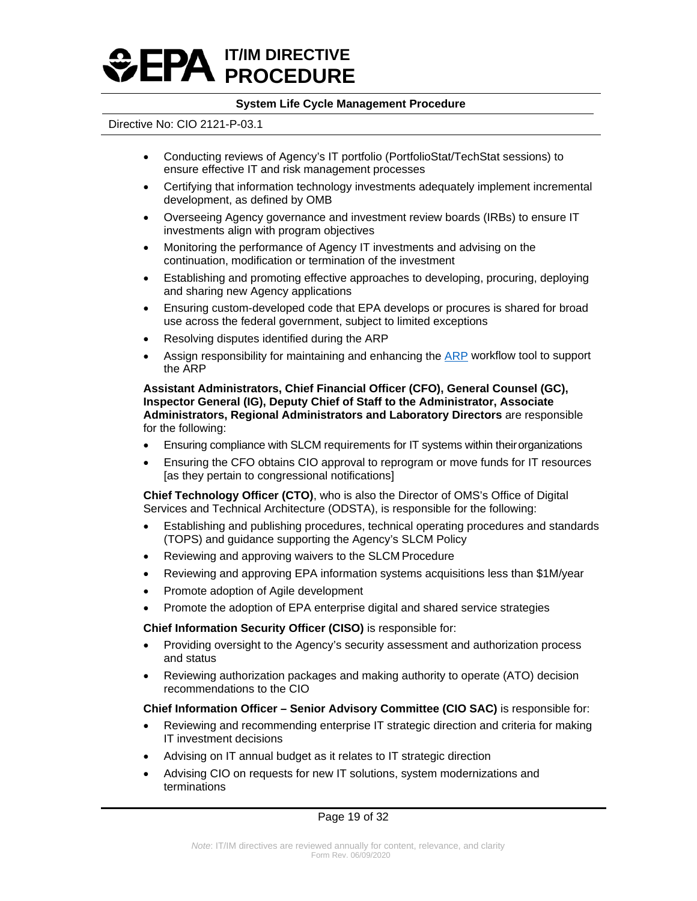

### Directive No: CIO 2121-P-03.1

- Conducting reviews of Agency's IT portfolio (PortfolioStat/TechStat sessions) to ensure effective IT and risk management processes
- Certifying that information technology investments adequately implement incremental development, as defined by OMB
- Overseeing Agency governance and investment review boards (IRBs) to ensure IT investments align with program objectives
- Monitoring the performance of Agency IT investments and advising on the continuation, modification or termination of the investment
- Establishing and promoting effective approaches to developing, procuring, deploying and sharing new Agency applications
- Ensuring custom-developed code that EPA develops or procures is shared for broad use across the federal government, subject to limited exceptions
- Resolving disputes identified during the ARP
- Assign responsibility for maintaining and enhancing the **ARP** workflow tool to support the ARP

**Assistant Administrators, Chief Financial Officer (CFO), General Counsel (GC), Inspector General (IG), Deputy Chief of Staff to the Administrator, Associate Administrators, Regional Administrators and Laboratory Directors** are responsible for the following:

- Ensuring compliance with SLCM requirements for IT systems within theirorganizations
- Ensuring the CFO obtains CIO approval to reprogram or move funds for IT resources [as they pertain to congressional notifications]

**Chief Technology Officer (CTO)**, who is also the Director of OMS's Office of Digital Services and Technical Architecture (ODSTA), is responsible for the following:

- Establishing and publishing procedures, technical operating procedures and standards (TOPS) and guidance supporting the Agency's SLCM Policy
- Reviewing and approving waivers to the SLCM Procedure
- Reviewing and approving EPA information systems acquisitions less than \$1M/year
- Promote adoption of Agile development
- Promote the adoption of EPA enterprise digital and shared service strategies

**Chief Information Security Officer (CISO)** is responsible for:

- Providing oversight to the Agency's security assessment and authorization process and status
- Reviewing authorization packages and making authority to operate (ATO) decision recommendations to the CIO

### **Chief Information Officer – Senior Advisory Committee (CIO SAC)** is responsible for:

- Reviewing and recommending enterprise IT strategic direction and criteria for making IT investment decisions
- Advising on IT annual budget as it relates to IT strategic direction
- Advising CIO on requests for new IT solutions, system modernizations and terminations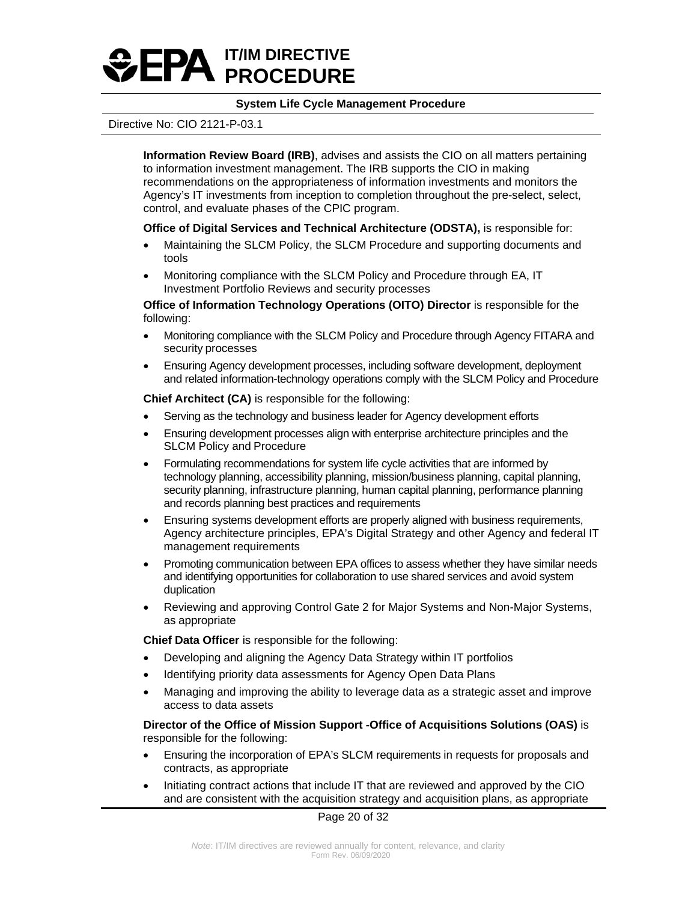

### Directive No: CIO 2121-P-03.1

**Information Review Board (IRB)**, advises and assists the CIO on all matters pertaining to information investment management. The IRB supports the CIO in making recommendations on the appropriateness of information investments and monitors the Agency's IT investments from inception to completion throughout the pre-select, select, control, and evaluate phases of the CPIC program.

### **Office of Digital Services and Technical Architecture (ODSTA),** is responsible for:

- Maintaining the SLCM Policy, the SLCM Procedure and supporting documents and tools
- Monitoring compliance with the SLCM Policy and Procedure through EA, IT Investment Portfolio Reviews and security processes

**Office of Information Technology Operations (OITO) Director** is responsible for the following:

- Monitoring compliance with the SLCM Policy and Procedure through Agency FITARA and security processes
- Ensuring Agency development processes, including software development, deployment and related information-technology operations comply with the SLCM Policy and Procedure

**Chief Architect (CA)** is responsible for the following:

- Serving as the technology and business leader for Agency development efforts
- Ensuring development processes align with enterprise architecture principles and the SLCM Policy and Procedure
- Formulating recommendations for system life cycle activities that are informed by technology planning, accessibility planning, mission/business planning, capital planning, security planning, infrastructure planning, human capital planning, performance planning and records planning best practices and requirements
- Ensuring systems development efforts are properly aligned with business requirements, Agency architecture principles, EPA's Digital Strategy and other Agency and federal IT management requirements
- Promoting communication between EPA offices to assess whether they have similar needs and identifying opportunities for collaboration to use shared services and avoid system duplication
- Reviewing and approving Control Gate 2 for Major Systems and Non-Major Systems, as appropriate

**Chief Data Officer** is responsible for the following:

- Developing and aligning the Agency Data Strategy within IT portfolios
- Identifying priority data assessments for Agency Open Data Plans
- Managing and improving the ability to leverage data as a strategic asset and improve access to data assets

**Director of the Office of Mission Support -Office of Acquisitions Solutions (OAS)** is responsible for the following:

- Ensuring the incorporation of EPA's SLCM requirements in requests for proposals and contracts, as appropriate
- Initiating contract actions that include IT that are reviewed and approved by the CIO and are consistent with the acquisition strategy and acquisition plans, as appropriate

Page 20 of 32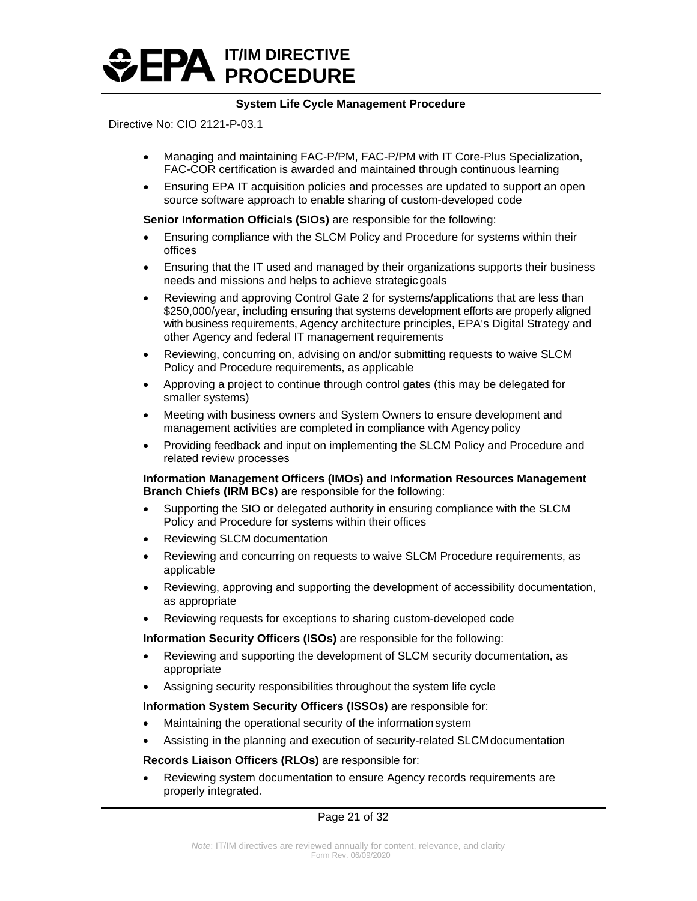

### Directive No: CIO 2121-P-03.1

- Managing and maintaining FAC-P/PM, FAC-P/PM with IT Core-Plus Specialization, FAC-COR certification is awarded and maintained through continuous learning
- Ensuring EPA IT acquisition policies and processes are updated to support an open source software approach to enable sharing of custom-developed code

**Senior Information Officials (SIOs)** are responsible for the following:

- Ensuring compliance with the SLCM Policy and Procedure for systems within their offices
- Ensuring that the IT used and managed by their organizations supports their business needs and missions and helps to achieve strategicgoals
- Reviewing and approving Control Gate 2 for systems/applications that are less than \$250,000/year, including ensuring that systems development efforts are properly aligned with business requirements, Agency architecture principles, EPA's Digital Strategy and other Agency and federal IT management requirements
- Reviewing, concurring on, advising on and/or submitting requests to waive SLCM Policy and Procedure requirements, as applicable
- Approving a project to continue through control gates (this may be delegated for smaller systems)
- Meeting with business owners and System Owners to ensure development and management activities are completed in compliance with Agency policy
- Providing feedback and input on implementing the SLCM Policy and Procedure and related review processes

**Information Management Officers (IMOs) and Information Resources Management Branch Chiefs (IRM BCs)** are responsible for the following:

- Supporting the SIO or delegated authority in ensuring compliance with the SLCM Policy and Procedure for systems within their offices
- Reviewing SLCM documentation
- Reviewing and concurring on requests to waive SLCM Procedure requirements, as applicable
- Reviewing, approving and supporting the development of accessibility documentation, as appropriate
- Reviewing requests for exceptions to sharing custom-developed code

**Information Security Officers (ISOs)** are responsible for the following:

- Reviewing and supporting the development of SLCM security documentation, as appropriate
- Assigning security responsibilities throughout the system life cycle

**Information System Security Officers (ISSOs)** are responsible for:

- Maintaining the operational security of the information system
- Assisting in the planning and execution of security-related SLCMdocumentation

**Records Liaison Officers (RLOs)** are responsible for:

• Reviewing system documentation to ensure Agency records requirements are properly integrated.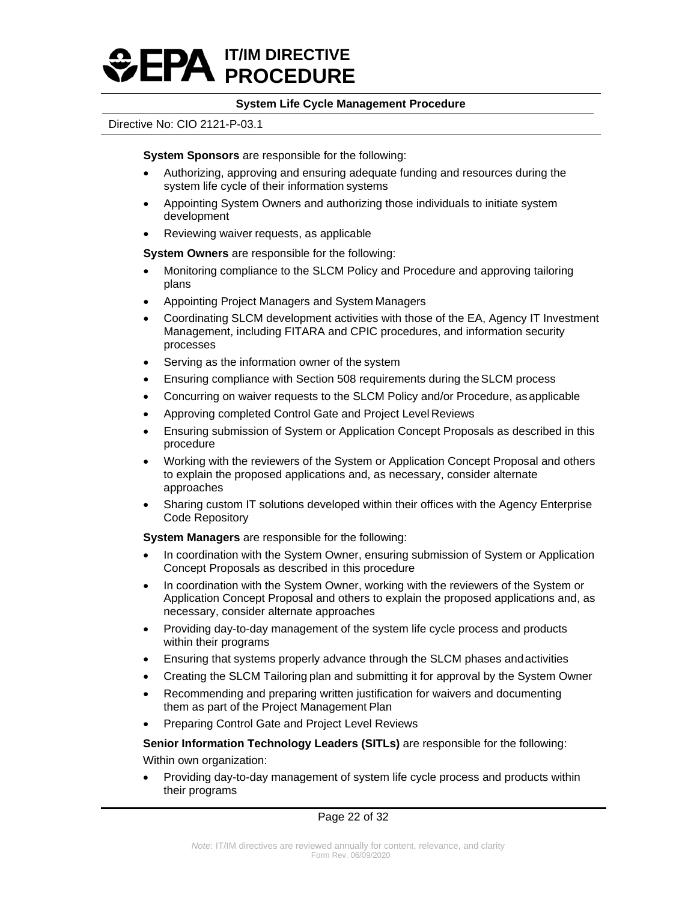

### Directive No: CIO 2121-P-03.1

**System Sponsors** are responsible for the following:

- Authorizing, approving and ensuring adequate funding and resources during the system life cycle of their information systems
- Appointing System Owners and authorizing those individuals to initiate system development
- Reviewing waiver requests, as applicable

**System Owners** are responsible for the following:

- Monitoring compliance to the SLCM Policy and Procedure and approving tailoring plans
- Appointing Project Managers and System Managers
- Coordinating SLCM development activities with those of the EA, Agency IT Investment Management, including FITARA and CPIC procedures, and information security processes
- Serving as the information owner of the system
- Ensuring compliance with Section 508 requirements during the SLCM process
- Concurring on waiver requests to the SLCM Policy and/or Procedure, as applicable
- Approving completed Control Gate and Project Level Reviews
- Ensuring submission of System or Application Concept Proposals as described in this procedure
- Working with the reviewers of the System or Application Concept Proposal and others to explain the proposed applications and, as necessary, consider alternate approaches
- Sharing custom IT solutions developed within their offices with the Agency Enterprise Code Repository

**System Managers** are responsible for the following:

- In coordination with the System Owner, ensuring submission of System or Application Concept Proposals as described in this procedure
- In coordination with the System Owner, working with the reviewers of the System or Application Concept Proposal and others to explain the proposed applications and, as necessary, consider alternate approaches
- Providing day-to-day management of the system life cycle process and products within their programs
- Ensuring that systems properly advance through the SLCM phases andactivities
- Creating the SLCM Tailoring plan and submitting it for approval by the System Owner
- Recommending and preparing written justification for waivers and documenting them as part of the Project Management Plan
- Preparing Control Gate and Project Level Reviews

**Senior Information Technology Leaders (SITLs)** are responsible for the following:

Within own organization:

• Providing day-to-day management of system life cycle process and products within their programs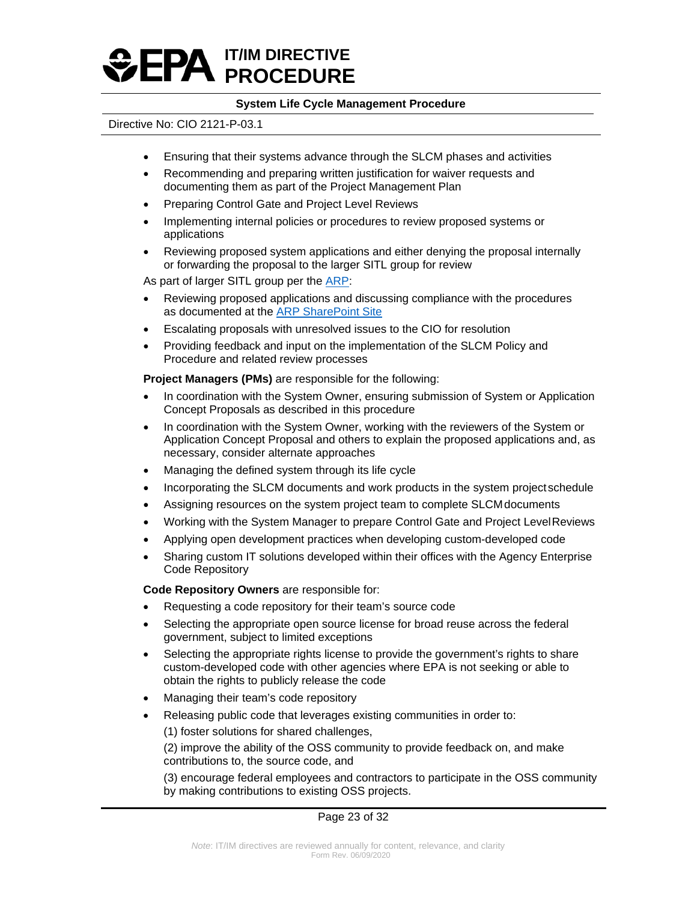

### Directive No: CIO 2121-P-03.1

- Ensuring that their systems advance through the SLCM phases and activities
- Recommending and preparing written justification for waiver requests and documenting them as part of the Project Management Plan
- Preparing Control Gate and Project Level Reviews
- Implementing internal policies or procedures to review proposed systems or applications
- Reviewing proposed system applications and either denying the proposal internally or forwarding the proposal to the larger SITL group for review

As part of larger SITL group per the **ARP**:

- Reviewing proposed applications and discussing compliance with the procedures as documented at the [ARP SharePoint Site](https://usepa.sharepoint.com/sites/oei_Work/ODSTA/AppGov/SitePages/Home.aspx)
- Escalating proposals with unresolved issues to the CIO for resolution
- Providing feedback and input on the implementation of the SLCM Policy and Procedure and related review processes

**Project Managers (PMs)** are responsible for the following:

- In coordination with the System Owner, ensuring submission of System or Application Concept Proposals as described in this procedure
- In coordination with the System Owner, working with the reviewers of the System or Application Concept Proposal and others to explain the proposed applications and, as necessary, consider alternate approaches
- Managing the defined system through its life cycle
- Incorporating the SLCM documents and work products in the system project schedule
- Assigning resources on the system project team to complete SLCM documents
- Working with the System Manager to prepare Control Gate and Project LevelReviews
- Applying open development practices when developing custom-developed code
- Sharing custom IT solutions developed within their offices with the Agency Enterprise Code Repository

**Code Repository Owners** are responsible for:

- Requesting a code repository for their team's source code
- Selecting the appropriate open source license for broad reuse across the federal government, subject to limited exceptions
- Selecting the appropriate rights license to provide the government's rights to share custom-developed code with other agencies where EPA is not seeking or able to obtain the rights to publicly release the code
- Managing their team's code repository
- Releasing public code that leverages existing communities in order to:
	- (1) foster solutions for shared challenges,

(2) improve the ability of the OSS community to provide feedback on, and make contributions to, the source code, and

(3) encourage federal employees and contractors to participate in the OSS community by making contributions to existing OSS projects.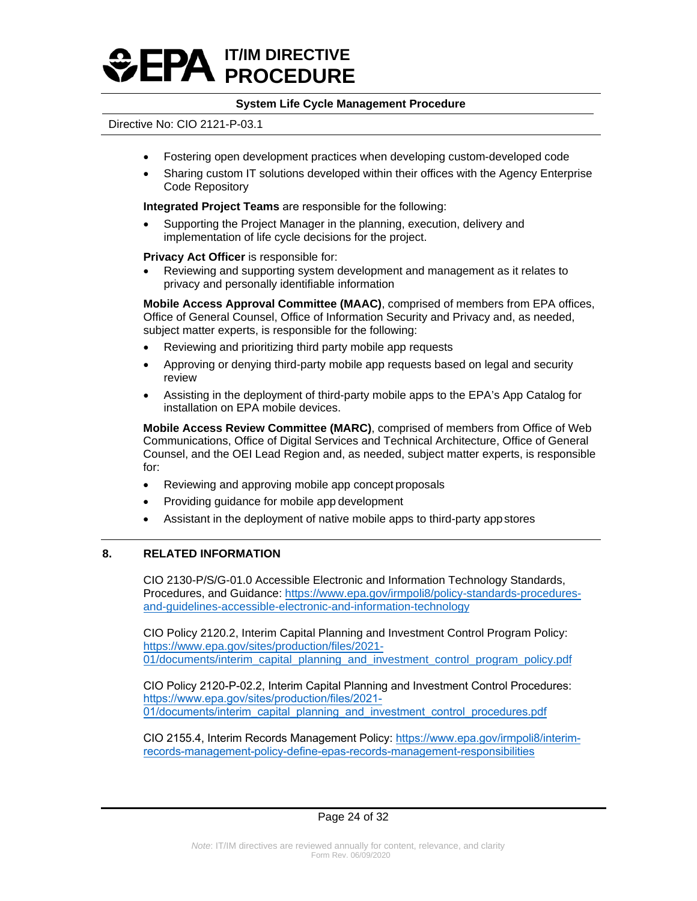

### Directive No: CIO 2121-P-03.1

- Fostering open development practices when developing custom-developed code
- Sharing custom IT solutions developed within their offices with the Agency Enterprise Code Repository

**Integrated Project Teams** are responsible for the following:

• Supporting the Project Manager in the planning, execution, delivery and implementation of life cycle decisions for the project.

**Privacy Act Officer** is responsible for:

• Reviewing and supporting system development and management as it relates to privacy and personally identifiable information

**Mobile Access Approval Committee (MAAC)**, comprised of members from EPA offices, Office of General Counsel, Office of Information Security and Privacy and, as needed, subject matter experts, is responsible for the following:

- Reviewing and prioritizing third party mobile app requests
- Approving or denying third-party mobile app requests based on legal and security review
- Assisting in the deployment of third-party mobile apps to the EPA's App Catalog for installation on EPA mobile devices.

**Mobile Access Review Committee (MARC)**, comprised of members from Office of Web Communications, Office of Digital Services and Technical Architecture, Office of General Counsel, and the OEI Lead Region and, as needed, subject matter experts, is responsible for:

- Reviewing and approving mobile app concept proposals
- Providing guidance for mobile app development
- Assistant in the deployment of native mobile apps to third-party appstores

### **8. RELATED INFORMATION**

CIO 2130-P/S/G-01.0 Accessible Electronic and Information Technology Standards, Procedures, and Guidance: [https://www.epa.gov/irmpoli8/policy-standards-procedures](https://www.epa.gov/irmpoli8/policy-standards-procedures-and-guidelines-accessible-electronic-and-information-technology)[and-guidelines-accessible-electronic-and-information-technology](https://www.epa.gov/irmpoli8/policy-standards-procedures-and-guidelines-accessible-electronic-and-information-technology)

CIO Policy 2120.2, Interim Capital Planning and Investment Control Program Policy: [https://www.epa.gov/sites/production/files/2021-](https://www.epa.gov/sites/production/files/2021-01/documents/interim_capital_planning_and_investment_control_program_policy.pdf) [01/documents/interim\\_capital\\_planning\\_and\\_investment\\_control\\_program\\_policy.pdf](https://www.epa.gov/sites/production/files/2021-01/documents/interim_capital_planning_and_investment_control_program_policy.pdf)

CIO Policy 2120-P-02.2, Interim Capital Planning and Investment Control Procedures: https://www.epa.gov/sites/production/files/2021- [01/documents/interim\\_capital\\_planning\\_and\\_investment\\_control\\_procedures.pdf](https://www.epa.gov/sites/production/files/2021-01/documents/interim_capital_planning_and_investment_control_procedures.pdf) 

CIO 2155.4, Interim Records Management Policy: https://www.epa.gov/irmpoli8/interim[records-management-policy-define-epas-records-management-responsibilities](https://www.epa.gov/irmpoli8/interim-records-management-policy-define-epas-records-management-responsibilities)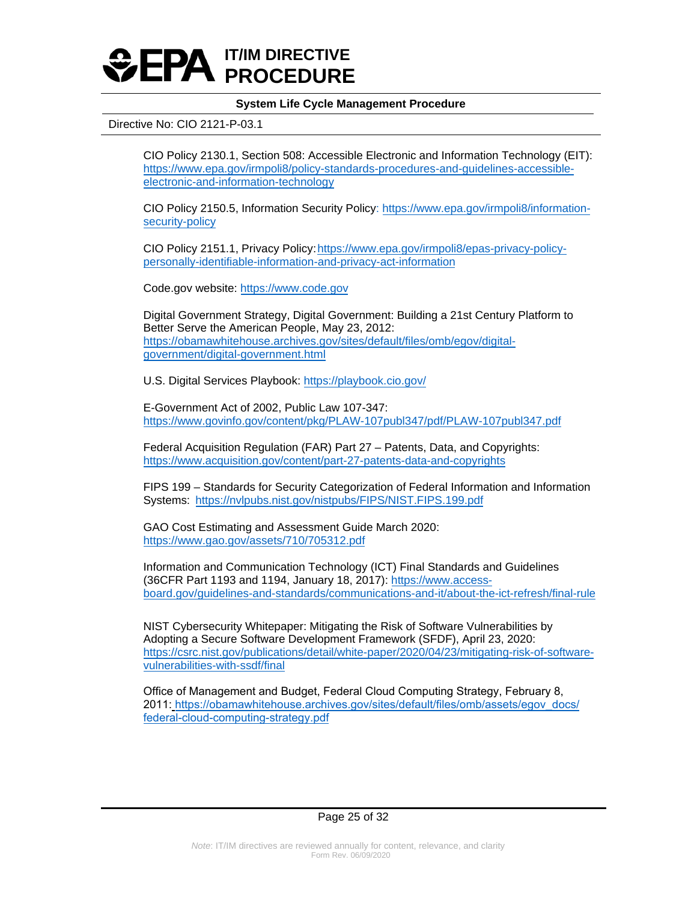

### Directive No: CIO 2121-P-03.1

CIO Policy 2130.1, Section 508: Accessible Electronic and Information Technology (EIT): [https://www.epa.gov/irmpoli8/policy-standards-procedures-and-guidelines-accessible](https://www.epa.gov/irmpoli8/policy-standards-procedures-and-guidelines-accessible-electronic-and-information-technology)[electronic-and-information-technology](https://www.epa.gov/irmpoli8/policy-standards-procedures-and-guidelines-accessible-electronic-and-information-technology)

CIO Policy 2150.5, Information Security Policy: [https://www.epa.gov/irmpoli8/information](https://www.epa.gov/irmpoli8/information-security-policy)[security-policy](https://www.epa.gov/irmpoli8/information-security-policy)

CIO Policy 2151.1, Privacy Policy:[https://www.epa.gov/irmpoli8/epas-privacy-policy](https://www.epa.gov/irmpoli8/epas-privacy-policy-personally-identifiable-information-and-privacy-act-information)[personally-identifiable-information-and-privacy-act-information](https://www.epa.gov/irmpoli8/epas-privacy-policy-personally-identifiable-information-and-privacy-act-information)

Code.gov website: [https://www.code.gov](https://www.code.gov/)

Digital Government Strategy, Digital Government: Building a 21st Century Platform to Better Serve the American People, May 23, 2012: [https://obamawhitehouse.archives.gov/sites/default/files/omb/egov/digital](https://obamawhitehouse.archives.gov/sites/default/files/omb/egov/digital-government/digital-government.html)[government/digital-government.html](https://obamawhitehouse.archives.gov/sites/default/files/omb/egov/digital-government/digital-government.html)

U.S. Digital Services Playbook[: https://playbook.cio.gov/](https://playbook.cio.gov/)

E-Government Act of 2002, Public Law 107-347: <https://www.govinfo.gov/content/pkg/PLAW-107publ347/pdf/PLAW-107publ347.pdf>

Federal Acquisition Regulation (FAR) Part 27 – Patents, Data, and Copyrights: <https://www.acquisition.gov/content/part-27-patents-data-and-copyrights>

FIPS 199 – Standards for Security Categorization of Federal Information and Information Systems: <https://nvlpubs.nist.gov/nistpubs/FIPS/NIST.FIPS.199.pdf>

GAO Cost Estimating and Assessment Guide March 2020: <https://www.gao.gov/assets/710/705312.pdf>

Information and Communication Technology (ICT) Final Standards and Guidelines (36CFR Part 1193 and 1194, January 18, 2017)[: https://www.access](https://www.access-board.gov/guidelines-and-standards/communications-and-it/about-the-ict-refresh/final-rule)[board.gov/guidelines-and-standards/communications-and-it/about-the-ict-refresh/final-rule](https://www.access-board.gov/guidelines-and-standards/communications-and-it/about-the-ict-refresh/final-rule)

NIST Cybersecurity Whitepaper: Mitigating the Risk of Software Vulnerabilities by Adopting a Secure Software Development Framework (SFDF), April 23, 2020: [https://csrc.nist.gov/publications/detail/white-paper/2020/04/23/mitigating-risk-of-software](https://csrc.nist.gov/publications/detail/white-paper/2020/04/23/mitigating-risk-of-software-vulnerabilities-with-ssdf/final)[vulnerabilities-with-ssdf/final](https://csrc.nist.gov/publications/detail/white-paper/2020/04/23/mitigating-risk-of-software-vulnerabilities-with-ssdf/final)

Office of Management and Budget, Federal Cloud Computing Strategy, February 8, [2011: https://obamawhitehouse.archives.gov/sites/default/files/omb/assets/egov\\_docs/](https://obamawhitehouse.archives.gov/sites/default/files/omb/assets/egov_docs/federal-cloud-computing-strategy.pdf) federal-cloud-computing-strategy.pdf

### Page 25 of 32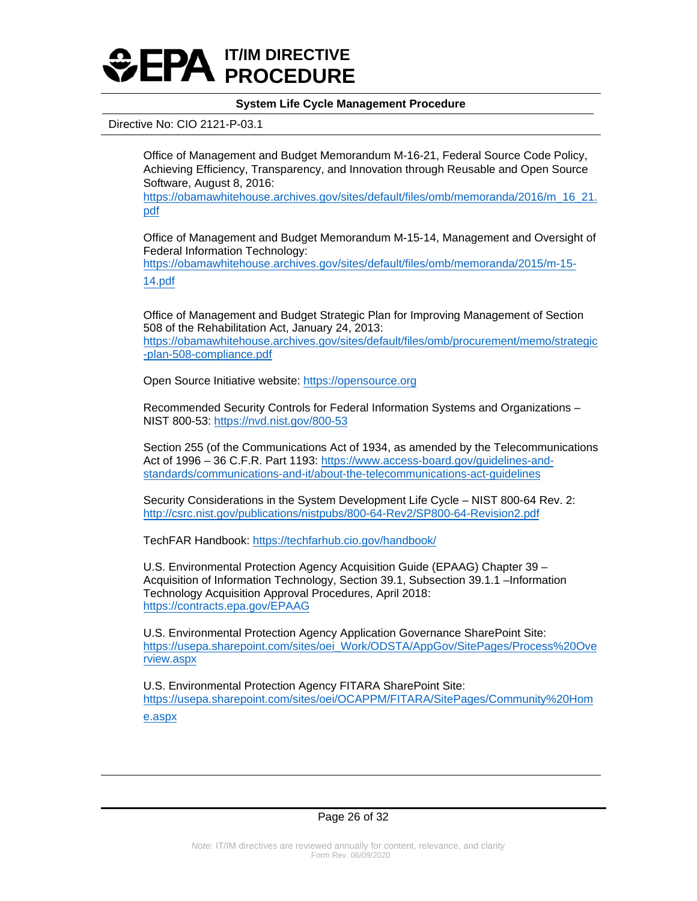

### Directive No: CIO 2121-P-03.1

Office of Management and Budget Memorandum M-16-21, Federal Source Code Policy, Achieving Efficiency, Transparency, and Innovation through Reusable and Open Source Software, August 8, 2016:

[https://obamawhitehouse.archives.gov/sites/default/files/omb/memoranda/2016/m\\_16\\_21.](https://obamawhitehouse.archives.gov/sites/default/files/omb/memoranda/2016/m_16_21.pdf) [pdf](https://obamawhitehouse.archives.gov/sites/default/files/omb/memoranda/2016/m_16_21.pdf) 

Office of Management and Budget Memorandum M-15-14, Management and Oversight of Federal Information Technology:

[https://obamawhitehouse.archives.gov/sites/default/files/omb/memoranda/2015/m-15-](https://obamawhitehouse.archives.gov/sites/default/files/omb/memoranda/2015/m-15-14.pdf) [14.pdf](https://obamawhitehouse.archives.gov/sites/default/files/omb/memoranda/2015/m-15-14.pdf)

Office of Management and Budget Strategic Plan for Improving Management of Section 508 of the Rehabilitation Act, January 24, 2013:

[https://obamawhitehouse.archives.gov/sites/default/files/omb/procurement/memo/strategic](https://obamawhitehouse.archives.gov/sites/default/files/omb/procurement/memo/strategic-plan-508-compliance.pdf) [-plan-508-compliance.pdf](https://obamawhitehouse.archives.gov/sites/default/files/omb/procurement/memo/strategic-plan-508-compliance.pdf)

Open Source Initiative website: [https://opensource.org](https://opensource.org/)

Recommended Security Controls for Federal Information Systems and Organizations – NIST 800-53:<https://nvd.nist.gov/800-53>

Section 255 (of the Communications Act of 1934, as amended by the Telecommunications Act of 1996 – 36 C.F.R. Part 1193[: https://www.access-board.gov/guidelines-and](https://www.access-board.gov/guidelines-and-standards/communications-and-it/about-the-telecommunications-act-guidelines)[standards/communications-and-it/about-the-telecommunications-act-guidelines](https://www.access-board.gov/guidelines-and-standards/communications-and-it/about-the-telecommunications-act-guidelines)

Security Considerations in the System Development Life Cycle – NIST 800-64 Rev. 2: <http://csrc.nist.gov/publications/nistpubs/800-64-Rev2/SP800-64-Revision2.pdf>

TechFAR Handbook[: https://techfarhub.cio.gov/handbook/](https://techfarhub.cio.gov/handbook/)

U.S. Environmental Protection Agency Acquisition Guide (EPAAG) Chapter 39 – Acquisition of Information Technology, Section 39.1, Subsection 39.1.1 –Information Technology Acquisition Approval Procedures, April 2018: <https://contracts.epa.gov/EPAAG>

U.S. Environmental Protection Agency Application Governance SharePoint Site: [https://usepa.sharepoint.com/sites/oei\\_Work/ODSTA/AppGov/SitePages/Process%20Ove](https://usepa.sharepoint.com/sites/oei_Work/ODSTA/AppGov/SitePages/Process%20Overview.aspx) [rview.aspx](https://usepa.sharepoint.com/sites/oei_Work/ODSTA/AppGov/SitePages/Process%20Overview.aspx) 

U.S. Environmental Protection Agency FITARA SharePoint Site: [https://usepa.sharepoint.com/sites/oei/OCAPPM/FITARA/SitePages/Community%20Hom](https://usepa.sharepoint.com/sites/oei/OCAPPM/FITARA/SitePages/Community%20Home.aspx) [e.aspx](https://usepa.sharepoint.com/sites/oei/OCAPPM/FITARA/SitePages/Community%20Home.aspx)

Page 26 of 32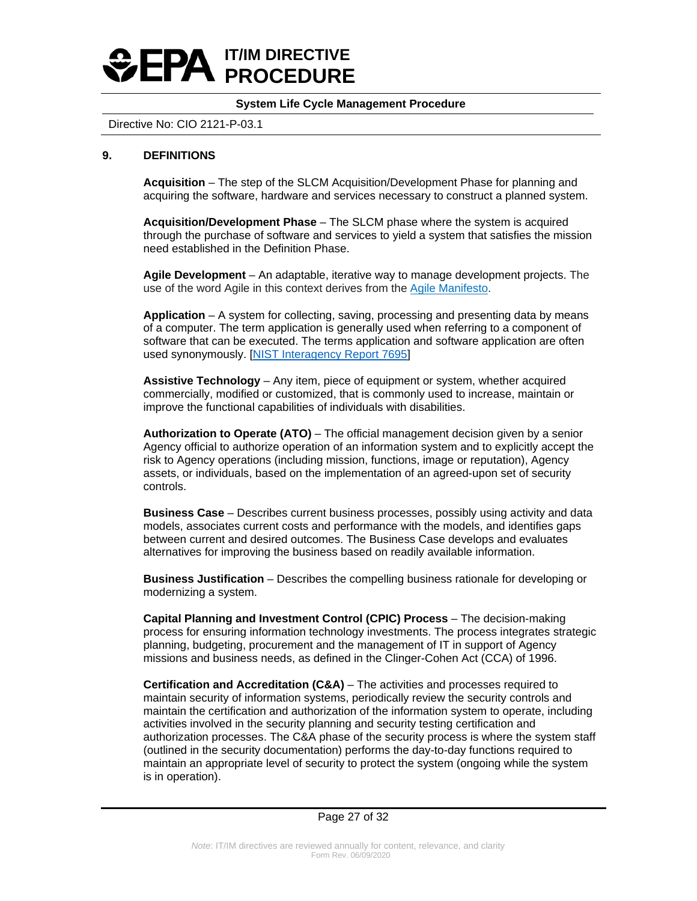# **IT/IM DIRECTIVE PROCEDURE**

## **System Life Cycle Management Procedure**

## Directive No: CIO 2121-P-03.1

## **9. DEFINITIONS**

**Acquisition** – The step of the SLCM Acquisition/Development Phase for planning and acquiring the software, hardware and services necessary to construct a planned system.

**Acquisition/Development Phase** – The SLCM phase where the system is acquired through the purchase of software and services to yield a system that satisfies the mission need established in the Definition Phase.

**Agile Development** – An adaptable, iterative way to manage development projects. The use of the word Agile in this context derives from the [Agile Manifesto.](http://www.agilemanifesto.org/)

**Application** – A system for collecting, saving, processing and presenting data by means of a computer. The term application is generally used when referring to a component of software that can be executed. The terms application and software application are often used synonymously. [\[NIST Interagency Report 7695\]](https://nvlpubs.nist.gov/nistpubs/Legacy/IR/nistir7695.pdf)

**Assistive Technology** – Any item, piece of equipment or system, whether acquired commercially, modified or customized, that is commonly used to increase, maintain or improve the functional capabilities of individuals with disabilities.

**Authorization to Operate (ATO)** – The official management decision given by a senior Agency official to authorize operation of an information system and to explicitly accept the risk to Agency operations (including mission, functions, image or reputation), Agency assets, or individuals, based on the implementation of an agreed-upon set of security controls.

**Business Case** – Describes current business processes, possibly using activity and data models, associates current costs and performance with the models, and identifies gaps between current and desired outcomes. The Business Case develops and evaluates alternatives for improving the business based on readily available information.

**Business Justification** – Describes the compelling business rationale for developing or modernizing a system.

**Capital Planning and Investment Control (CPIC) Process** – The decision-making process for ensuring information technology investments. The process integrates strategic planning, budgeting, procurement and the management of IT in support of Agency missions and business needs, as defined in the Clinger-Cohen Act (CCA) of 1996.

**Certification and Accreditation (C&A)** – The activities and processes required to maintain security of information systems, periodically review the security controls and maintain the certification and authorization of the information system to operate, including activities involved in the security planning and security testing certification and authorization processes. The C&A phase of the security process is where the system staff (outlined in the security documentation) performs the day-to-day functions required to maintain an appropriate level of security to protect the system (ongoing while the system is in operation).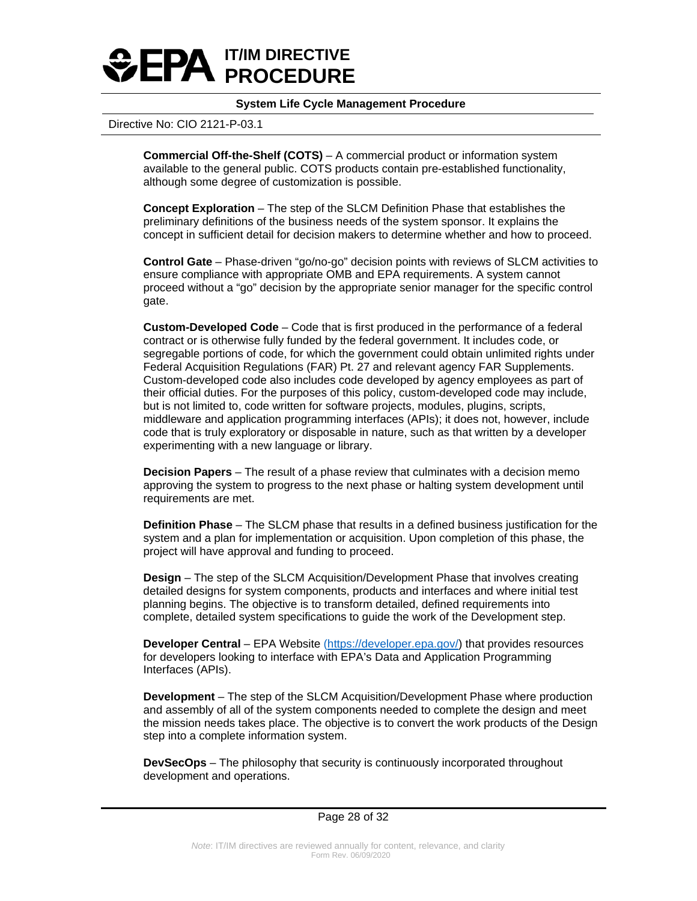

### Directive No: CIO 2121-P-03.1

**Commercial Off-the-Shelf (COTS)** – A commercial product or information system available to the general public. COTS products contain pre-established functionality, although some degree of customization is possible.

**Concept Exploration** – The step of the SLCM Definition Phase that establishes the preliminary definitions of the business needs of the system sponsor. It explains the concept in sufficient detail for decision makers to determine whether and how to proceed.

**Control Gate** – Phase-driven "go/no-go" decision points with reviews of SLCM activities to ensure compliance with appropriate OMB and EPA requirements. A system cannot proceed without a "go" decision by the appropriate senior manager for the specific control gate.

**Custom-Developed Code** – Code that is first produced in the performance of a federal contract or is otherwise fully funded by the federal government. It includes code, or segregable portions of code, for which the government could obtain unlimited rights under Federal Acquisition Regulations (FAR) Pt. 27 and relevant agency FAR Supplements. Custom-developed code also includes code developed by agency employees as part of their official duties. For the purposes of this policy, custom-developed code may include, but is not limited to, code written for software projects, modules, plugins, scripts, middleware and application programming interfaces (APIs); it does not, however, include code that is truly exploratory or disposable in nature, such as that written by a developer experimenting with a new language or library.

**Decision Papers** – The result of a phase review that culminates with a decision memo approving the system to progress to the next phase or halting system development until requirements are met.

**Definition Phase** – The SLCM phase that results in a defined business justification for the system and a plan for implementation or acquisition. Upon completion of this phase, the project will have approval and funding to proceed.

**Design** – The step of the SLCM Acquisition/Development Phase that involves creating detailed designs for system components, products and interfaces and where initial test planning begins. The objective is to transform detailed, defined requirements into complete, detailed system specifications to guide the work of the Development step.

**Developer Central** – EPA Website [\(https://developer.epa.gov/\)](https://developer.epa.gov/) that provides resources for developers looking to interface with EPA's Data and Application Programming Interfaces (APIs).

**Development** – The step of the SLCM Acquisition/Development Phase where production and assembly of all of the system components needed to complete the design and meet the mission needs takes place. The objective is to convert the work products of the Design step into a complete information system.

**DevSecOps** – The philosophy that security is continuously incorporated throughout development and operations.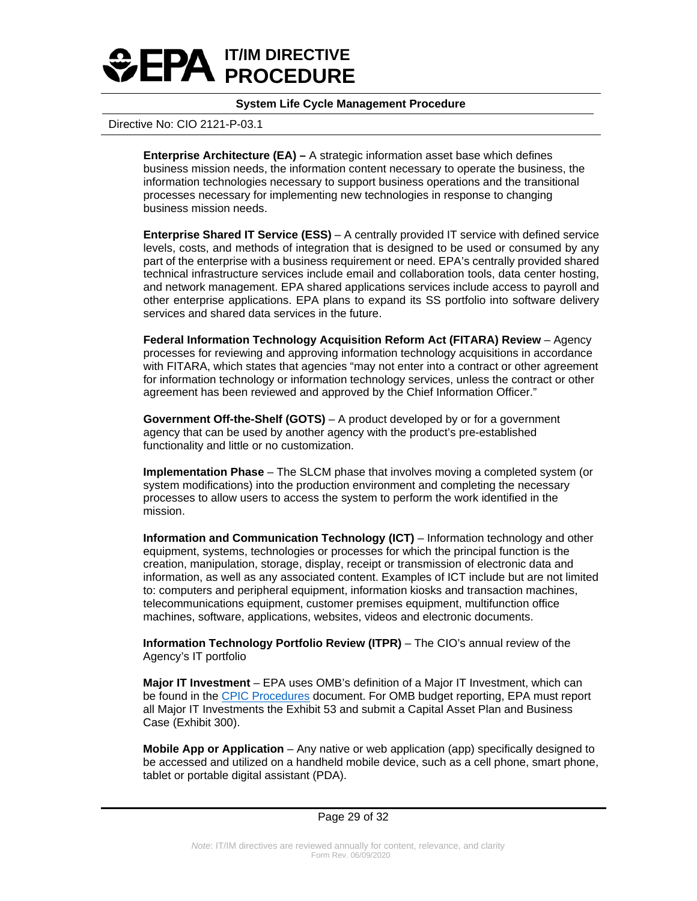

### Directive No: CIO 2121-P-03.1

**Enterprise Architecture (EA) –** A strategic information asset base which defines business mission needs, the information content necessary to operate the business, the information technologies necessary to support business operations and the transitional processes necessary for implementing new technologies in response to changing business mission needs.

**Enterprise Shared IT Service (ESS)** – A centrally provided IT service with defined service levels, costs, and methods of integration that is designed to be used or consumed by any part of the enterprise with a business requirement or need. EPA's centrally provided shared technical infrastructure services include email and collaboration tools, data center hosting, and network management. EPA shared applications services include access to payroll and other enterprise applications. EPA plans to expand its SS portfolio into software delivery services and shared data services in the future.

**Federal Information Technology Acquisition Reform Act (FITARA) Review** – Agency processes for reviewing and approving information technology acquisitions in accordance with FITARA, which states that agencies "may not enter into a contract or other agreement for information technology or information technology services, unless the contract or other agreement has been reviewed and approved by the Chief Information Officer."

**Government Off-the-Shelf (GOTS)** – A product developed by or for a government agency that can be used by another agency with the product's pre-established functionality and little or no customization.

**Implementation Phase** – The SLCM phase that involves moving a completed system (or system modifications) into the production environment and completing the necessary processes to allow users to access the system to perform the work identified in the mission.

**Information and Communication Technology (ICT)** – Information technology and other equipment, systems, technologies or processes for which the principal function is the creation, manipulation, storage, display, receipt or transmission of electronic data and information, as well as any associated content. Examples of ICT include but are not limited to: computers and peripheral equipment, information kiosks and transaction machines, telecommunications equipment, customer premises equipment, multifunction office machines, software, applications, websites, videos and electronic documents.

**Information Technology Portfolio Review (ITPR)** – The CIO's annual review of the Agency's IT portfolio

**Major IT Investment** – EPA uses OMB's definition of a Major IT Investment, which can be found in the CPIC [Procedures](http://intranet.epa.gov/oei/imitpolicy/qic/ciopolicy/CIO-2120-P-02.0.pdf) document. For OMB budget reporting, EPA must report all Major IT Investments the Exhibit 53 and submit a Capital Asset Plan and Business Case (Exhibit 300).

**Mobile App or Application** – Any native or web application (app) specifically designed to be accessed and utilized on a handheld mobile device, such as a cell phone, smart phone, tablet or portable digital assistant (PDA).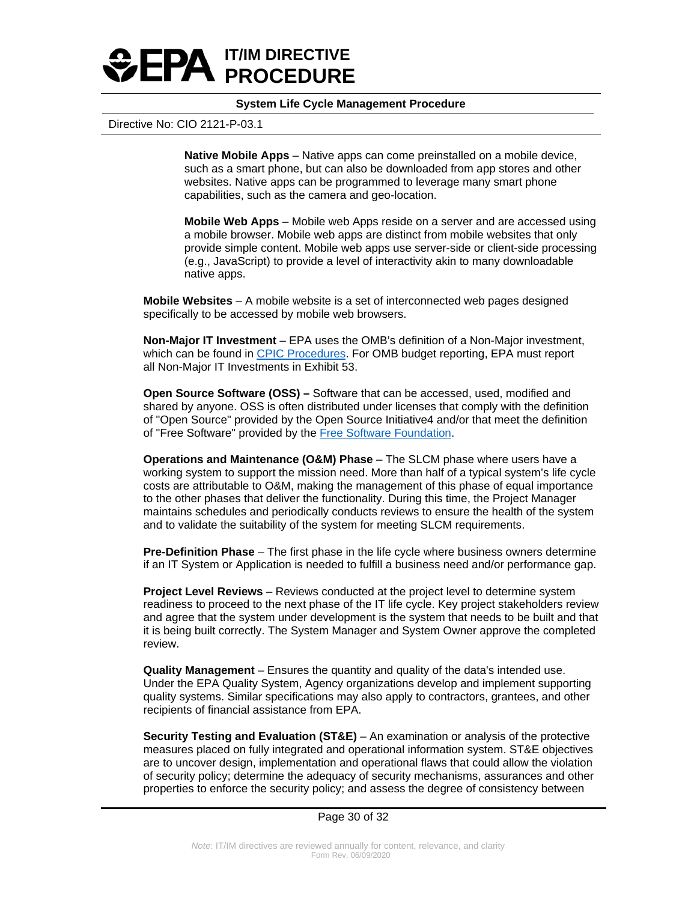

### Directive No: CIO 2121-P-03.1

**Native Mobile Apps** – Native apps can come preinstalled on a mobile device, such as a smart phone, but can also be downloaded from app stores and other websites. Native apps can be programmed to leverage many smart phone capabilities, such as the camera and geo-location.

**Mobile Web Apps** – Mobile web Apps reside on a server and are accessed using a mobile browser. Mobile web apps are distinct from mobile websites that only provide simple content. Mobile web apps use server-side or client-side processing (e.g., JavaScript) to provide a level of interactivity akin to many downloadable native apps.

**Mobile Websites** – A mobile website is a set of interconnected web pages designed specifically to be accessed by mobile web browsers.

**Non-Major IT Investment** – EPA uses the OMB's definition of a Non-Major investment, which can be found i[n CPIC Procedures.](http://intranet.epa.gov/oei/imitpolicy/qic/ciopolicy/CIO-2120-P-02.0.pdf) For OMB budget reporting, EPA must report all Non-Major IT Investments in Exhibit 53.

**Open Source Software (OSS) –** Software that can be accessed, used, modified and shared by anyone. OSS is often distributed under licenses that comply with the definition of "Open Source" provided by the Open Source Initiative4 and/or that meet the definition of "Free Software" provided by the [Free Software Foundation.](https://www.gnu.org/philosophy/free-sw.html)

**Operations and Maintenance (O&M) Phase** – The SLCM phase where users have a working system to support the mission need. More than half of a typical system's life cycle costs are attributable to O&M, making the management of this phase of equal importance to the other phases that deliver the functionality. During this time, the Project Manager maintains schedules and periodically conducts reviews to ensure the health of the system and to validate the suitability of the system for meeting SLCM requirements.

**Pre-Definition Phase** – The first phase in the life cycle where business owners determine if an IT System or Application is needed to fulfill a business need and/or performance gap.

**Project Level Reviews** – Reviews conducted at the project level to determine system readiness to proceed to the next phase of the IT life cycle. Key project stakeholders review and agree that the system under development is the system that needs to be built and that it is being built correctly. The System Manager and System Owner approve the completed review.

**Quality Management** – Ensures the quantity and quality of the data's intended use. Under the EPA Quality System, Agency organizations develop and implement supporting quality systems. Similar specifications may also apply to contractors, grantees, and other recipients of financial assistance from EPA.

**Security Testing and Evaluation (ST&E)** – An examination or analysis of the protective measures placed on fully integrated and operational information system. ST&E objectives are to uncover design, implementation and operational flaws that could allow the violation of security policy; determine the adequacy of security mechanisms, assurances and other properties to enforce the security policy; and assess the degree of consistency between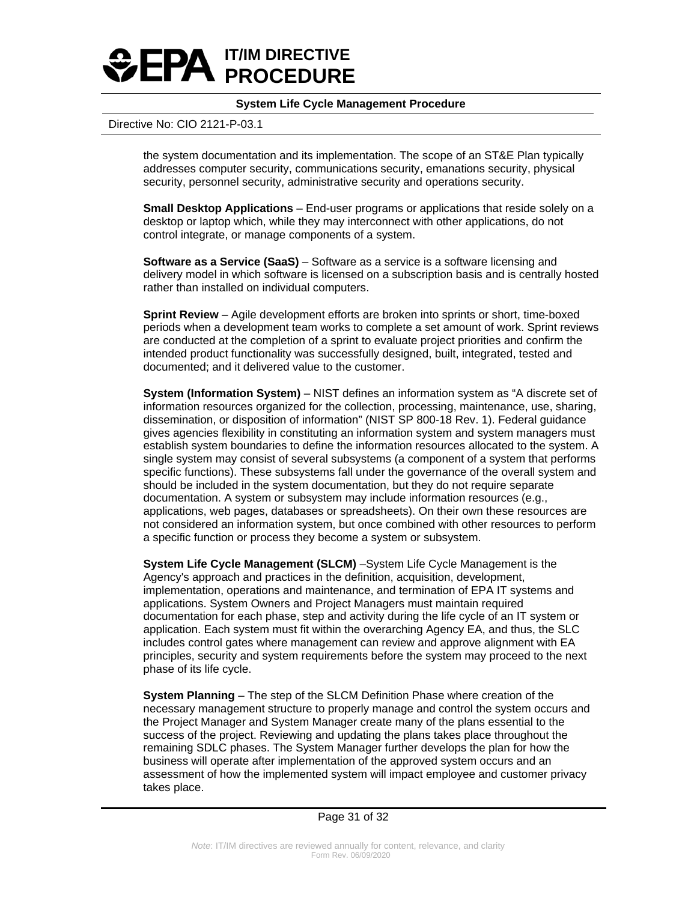

### Directive No: CIO 2121-P-03.1

the system documentation and its implementation. The scope of an ST&E Plan typically addresses computer security, communications security, emanations security, physical security, personnel security, administrative security and operations security.

**Small Desktop Applications** – End-user programs or applications that reside solely on a desktop or laptop which, while they may interconnect with other applications, do not control integrate, or manage components of a system.

**Software as a Service (SaaS)** – Software as a service is a software licensing and delivery model in which software is licensed on a subscription basis and is centrally hosted rather than installed on individual computers.

**Sprint Review** – Agile development efforts are broken into sprints or short, time-boxed periods when a development team works to complete a set amount of work. Sprint reviews are conducted at the completion of a sprint to evaluate project priorities and confirm the intended product functionality was successfully designed, built, integrated, tested and documented; and it delivered value to the customer.

**System (Information System)** – NIST defines an information system as "A discrete set of information resources organized for the collection, processing, maintenance, use, sharing, dissemination, or disposition of information" (NIST SP 800-18 Rev. 1). Federal guidance gives agencies flexibility in constituting an information system and system managers must establish system boundaries to define the information resources allocated to the system. A single system may consist of several subsystems (a component of a system that performs specific functions). These subsystems fall under the governance of the overall system and should be included in the system documentation, but they do not require separate documentation. A system or subsystem may include information resources (e.g., applications, web pages, databases or spreadsheets). On their own these resources are not considered an information system, but once combined with other resources to perform a specific function or process they become a system or subsystem.

**System Life Cycle Management (SLCM)** –System Life Cycle Management is the Agency's approach and practices in the definition, acquisition, development, implementation, operations and maintenance, and termination of EPA IT systems and applications. System Owners and Project Managers must maintain required documentation for each phase, step and activity during the life cycle of an IT system or application. Each system must fit within the overarching Agency EA, and thus, the SLC includes control gates where management can review and approve alignment with EA principles, security and system requirements before the system may proceed to the next phase of its life cycle.

**System Planning** – The step of the SLCM Definition Phase where creation of the necessary management structure to properly manage and control the system occurs and the Project Manager and System Manager create many of the plans essential to the success of the project. Reviewing and updating the plans takes place throughout the remaining SDLC phases. The System Manager further develops the plan for how the business will operate after implementation of the approved system occurs and an assessment of how the implemented system will impact employee and customer privacy takes place.